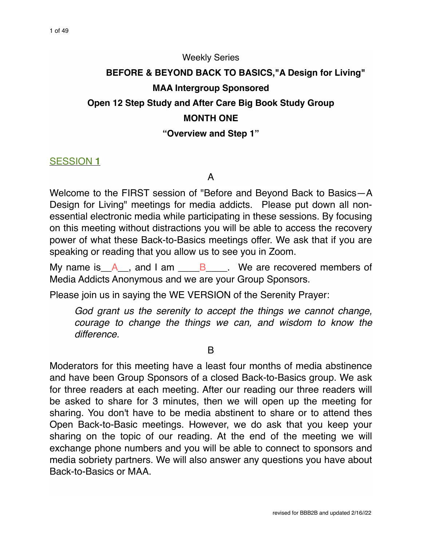#### Weekly Series

# **! ! BEFORE & BEYOND BACK TO BASICS,"A Design for Living" MAA Intergroup Sponsored Open 12 Step Study and After Care Big Book Study Group MONTH ONE "Overview and Step 1"**

SESSION **1**

#### A

Welcome to the FIRST session of "Before and Beyond Back to Basics—A Design for Living" meetings for media addicts. Please put down all nonessential electronic media while participating in these sessions. By focusing on this meeting without distractions you will be able to access the recovery power of what these Back-to-Basics meetings offer. We ask that if you are speaking or reading that you allow us to see you in Zoom.

My name is  $A$ , and I am  $B$ ,  $B$ ,  $W$ e are recovered members of Media Addicts Anonymous and we are your Group Sponsors.

Please join us in saying the WE VERSION of the Serenity Prayer:

*God grant us the serenity to accept the things we cannot change, courage to change the things we can, and wisdom to know the difference.*

B

Moderators for this meeting have a least four months of media abstinence and have been Group Sponsors of a closed Back-to-Basics group. We ask for three readers at each meeting. After our reading our three readers will be asked to share for 3 minutes, then we will open up the meeting for sharing. You don't have to be media abstinent to share or to attend thes Open Back-to-Basic meetings. However, we do ask that you keep your sharing on the topic of our reading. At the end of the meeting we will exchange phone numbers and you will be able to connect to sponsors and media sobriety partners. We will also answer any questions you have about Back-to-Basics or MAA.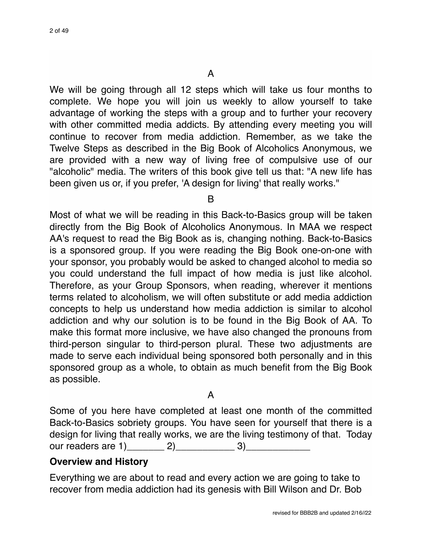We will be going through all 12 steps which will take us four months to complete. We hope you will join us weekly to allow yourself to take advantage of working the steps with a group and to further your recovery with other committed media addicts. By attending every meeting you will continue to recover from media addiction. Remember, as we take the Twelve Steps as described in the Big Book of Alcoholics Anonymous, we are provided with a new way of living free of compulsive use of our "alcoholic" media. The writers of this book give tell us that: "A new life has been given us or, if you prefer, 'A design for living' that really works."

B

Most of what we will be reading in this Back-to-Basics group will be taken directly from the Big Book of Alcoholics Anonymous. In MAA we respect AA's request to read the Big Book as is, changing nothing. Back-to-Basics is a sponsored group. If you were reading the Big Book one-on-one with your sponsor, you probably would be asked to changed alcohol to media so you could understand the full impact of how media is just like alcohol. Therefore, as your Group Sponsors, when reading, wherever it mentions terms related to alcoholism, we will often substitute or add media addiction concepts to help us understand how media addiction is similar to alcohol addiction and why our solution is to be found in the Big Book of AA. To make this format more inclusive, we have also changed the pronouns from third-person singular to third-person plural. These two adjustments are made to serve each individual being sponsored both personally and in this sponsored group as a whole, to obtain as much benefit from the Big Book as possible.

## A

Some of you here have completed at least one month of the committed Back-to-Basics sobriety groups. You have seen for yourself that there is a design for living that really works, we are the living testimony of that. Today our readers are  $1)$  [2]  $2)$  [3]

## **Overview and History**

Everything we are about to read and every action we are going to take to recover from media addiction had its genesis with Bill Wilson and Dr. Bob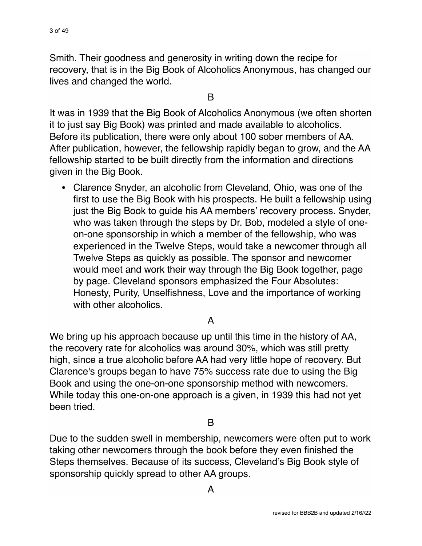Smith. Their goodness and generosity in writing down the recipe for recovery, that is in the Big Book of Alcoholics Anonymous, has changed our lives and changed the world.

B

It was in 1939 that the Big Book of Alcoholics Anonymous (we often shorten it to just say Big Book) was printed and made available to alcoholics. Before its publication, there were only about 100 sober members of AA. After publication, however, the fellowship rapidly began to grow, and the AA fellowship started to be built directly from the information and directions given in the Big Book.

• Clarence Snyder, an alcoholic from Cleveland, Ohio, was one of the first to use the Big Book with his prospects. He built a fellowship using just the Big Book to guide his AA members' recovery process. Snyder, who was taken through the steps by Dr. Bob, modeled a style of oneon-one sponsorship in which a member of the fellowship, who was experienced in the Twelve Steps, would take a newcomer through all Twelve Steps as quickly as possible. The sponsor and newcomer would meet and work their way through the Big Book together, page by page. Cleveland sponsors emphasized the Four Absolutes: Honesty, Purity, Unselfishness, Love and the importance of working with other alcoholics.

A

We bring up his approach because up until this time in the history of AA, the recovery rate for alcoholics was around 30%, which was still pretty high, since a true alcoholic before AA had very little hope of recovery. But Clarence's groups began to have 75% success rate due to using the Big Book and using the one-on-one sponsorship method with newcomers. While today this one-on-one approach is a given, in 1939 this had not yet been tried.

B

Due to the sudden swell in membership, newcomers were often put to work taking other newcomers through the book before they even finished the Steps themselves. Because of its success, Cleveland's Big Book style of sponsorship quickly spread to other AA groups.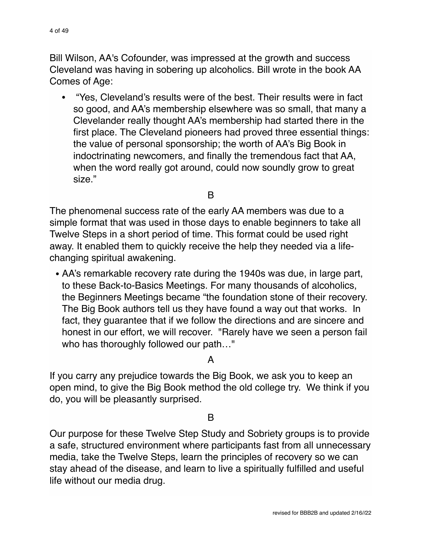Bill Wilson, AA's Cofounder, was impressed at the growth and success Cleveland was having in sobering up alcoholics. Bill wrote in the book AA Comes of Age:

• "Yes, Cleveland's results were of the best. Their results were in fact so good, and AA's membership elsewhere was so small, that many a Clevelander really thought AA's membership had started there in the first place. The Cleveland pioneers had proved three essential things: the value of personal sponsorship; the worth of AA's Big Book in indoctrinating newcomers, and finally the tremendous fact that AA, when the word really got around, could now soundly grow to great size."

B

The phenomenal success rate of the early AA members was due to a simple format that was used in those days to enable beginners to take all Twelve Steps in a short period of time. This format could be used right away. It enabled them to quickly receive the help they needed via a lifechanging spiritual awakening.

• AA's remarkable recovery rate during the 1940s was due, in large part, to these Back-to-Basics Meetings. For many thousands of alcoholics, the Beginners Meetings became "the foundation stone of their recovery. The Big Book authors tell us they have found a way out that works. In fact, they guarantee that if we follow the directions and are sincere and honest in our effort, we will recover. "Rarely have we seen a person fail who has thoroughly followed our path…"

A

If you carry any prejudice towards the Big Book, we ask you to keep an open mind, to give the Big Book method the old college try. We think if you do, you will be pleasantly surprised.

B

Our purpose for these Twelve Step Study and Sobriety groups is to provide a safe, structured environment where participants fast from all unnecessary media, take the Twelve Steps, learn the principles of recovery so we can stay ahead of the disease, and learn to live a spiritually fulfilled and useful life without our media drug.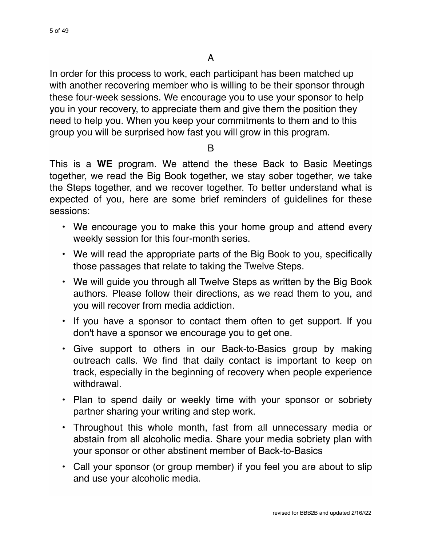In order for this process to work, each participant has been matched up with another recovering member who is willing to be their sponsor through these four-week sessions. We encourage you to use your sponsor to help you in your recovery, to appreciate them and give them the position they need to help you. When you keep your commitments to them and to this group you will be surprised how fast you will grow in this program.

#### B

This is a **WE** program. We attend the these Back to Basic Meetings together, we read the Big Book together, we stay sober together, we take the Steps together, and we recover together. To better understand what is expected of you, here are some brief reminders of guidelines for these sessions:

- We encourage you to make this your home group and attend every weekly session for this four-month series.
- We will read the appropriate parts of the Big Book to you, specifically those passages that relate to taking the Twelve Steps.
- We will guide you through all Twelve Steps as written by the Big Book authors. Please follow their directions, as we read them to you, and you will recover from media addiction.
- If you have a sponsor to contact them often to get support. If you don't have a sponsor we encourage you to get one.
- Give support to others in our Back-to-Basics group by making outreach calls. We find that daily contact is important to keep on track, especially in the beginning of recovery when people experience withdrawal.
- Plan to spend daily or weekly time with your sponsor or sobriety partner sharing your writing and step work.
- Throughout this whole month, fast from all unnecessary media or abstain from all alcoholic media. Share your media sobriety plan with your sponsor or other abstinent member of Back-to-Basics
- Call your sponsor (or group member) if you feel you are about to slip and use your alcoholic media.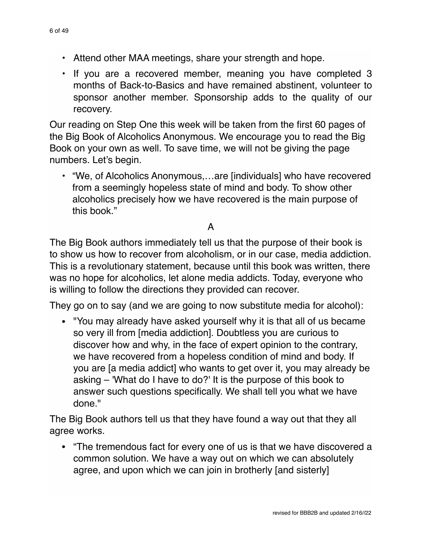- Attend other MAA meetings, share your strength and hope.
- If you are a recovered member, meaning you have completed 3 months of Back-to-Basics and have remained abstinent, volunteer to sponsor another member. Sponsorship adds to the quality of our recovery.

Our reading on Step One this week will be taken from the first 60 pages of the Big Book of Alcoholics Anonymous. We encourage you to read the Big Book on your own as well. To save time, we will not be giving the page numbers. Let's begin.

• "We, of Alcoholics Anonymous,…are [individuals] who have recovered from a seemingly hopeless state of mind and body. To show other alcoholics precisely how we have recovered is the main purpose of this book."

### A

The Big Book authors immediately tell us that the purpose of their book is to show us how to recover from alcoholism, or in our case, media addiction. This is a revolutionary statement, because until this book was written, there was no hope for alcoholics, let alone media addicts. Today, everyone who is willing to follow the directions they provided can recover.

They go on to say (and we are going to now substitute media for alcohol):

• "You may already have asked yourself why it is that all of us became so very ill from [media addiction]. Doubtless you are curious to discover how and why, in the face of expert opinion to the contrary, we have recovered from a hopeless condition of mind and body. If you are [a media addict] who wants to get over it, you may already be asking – 'What do I have to do?' It is the purpose of this book to answer such questions specifically. We shall tell you what we have done."

The Big Book authors tell us that they have found a way out that they all agree works.

• "The tremendous fact for every one of us is that we have discovered a common solution. We have a way out on which we can absolutely agree, and upon which we can join in brotherly [and sisterly]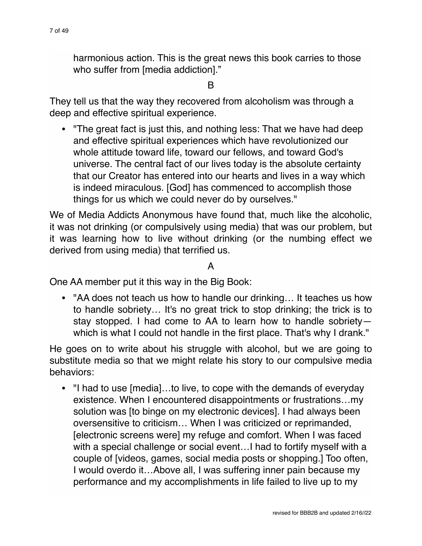harmonious action. This is the great news this book carries to those who suffer from [media addiction]."

B

They tell us that the way they recovered from alcoholism was through a deep and effective spiritual experience.

• "The great fact is just this, and nothing less: That we have had deep and effective spiritual experiences which have revolutionized our whole attitude toward life, toward our fellows, and toward God's universe. The central fact of our lives today is the absolute certainty that our Creator has entered into our hearts and lives in a way which is indeed miraculous. [God] has commenced to accomplish those things for us which we could never do by ourselves."

We of Media Addicts Anonymous have found that, much like the alcoholic, it was not drinking (or compulsively using media) that was our problem, but it was learning how to live without drinking (or the numbing effect we derived from using media) that terrified us.

A

One AA member put it this way in the Big Book:

• "AA does not teach us how to handle our drinking… It teaches us how to handle sobriety… It's no great trick to stop drinking; the trick is to stay stopped. I had come to AA to learn how to handle sobriety which is what I could not handle in the first place. That's why I drank."

He goes on to write about his struggle with alcohol, but we are going to substitute media so that we might relate his story to our compulsive media behaviors:

• "I had to use [media]…to live, to cope with the demands of everyday existence. When I encountered disappointments or frustrations…my solution was [to binge on my electronic devices]. I had always been oversensitive to criticism… When I was criticized or reprimanded, [electronic screens were] my refuge and comfort. When I was faced with a special challenge or social event…I had to fortify myself with a couple of [videos, games, social media posts or shopping.] Too often, I would overdo it…Above all, I was suffering inner pain because my performance and my accomplishments in life failed to live up to my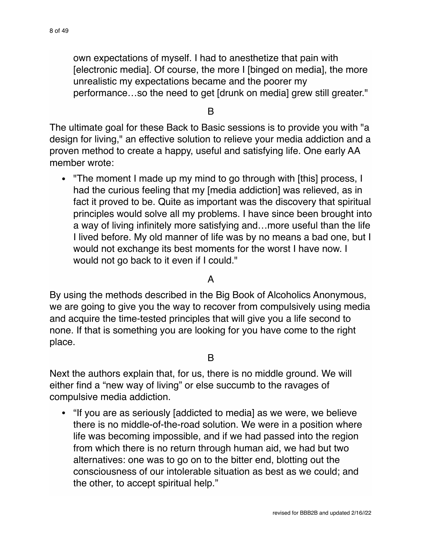own expectations of myself. I had to anesthetize that pain with [electronic media]. Of course, the more I [binged on media], the more unrealistic my expectations became and the poorer my performance…so the need to get [drunk on media] grew still greater."

B

The ultimate goal for these Back to Basic sessions is to provide you with "a design for living," an effective solution to relieve your media addiction and a proven method to create a happy, useful and satisfying life. One early AA member wrote:

• "The moment I made up my mind to go through with [this] process, I had the curious feeling that my [media addiction] was relieved, as in fact it proved to be. Quite as important was the discovery that spiritual principles would solve all my problems. I have since been brought into a way of living infinitely more satisfying and…more useful than the life I lived before. My old manner of life was by no means a bad one, but I would not exchange its best moments for the worst I have now. I would not go back to it even if I could."

A

By using the methods described in the Big Book of Alcoholics Anonymous, we are going to give you the way to recover from compulsively using media and acquire the time-tested principles that will give you a life second to none. If that is something you are looking for you have come to the right place.

B

Next the authors explain that, for us, there is no middle ground. We will either find a "new way of living" or else succumb to the ravages of compulsive media addiction.

• "If you are as seriously [addicted to media] as we were, we believe there is no middle-of-the-road solution. We were in a position where life was becoming impossible, and if we had passed into the region from which there is no return through human aid, we had but two alternatives: one was to go on to the bitter end, blotting out the consciousness of our intolerable situation as best as we could; and the other, to accept spiritual help."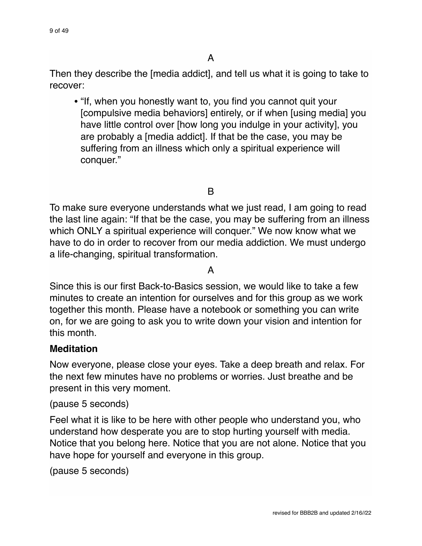Then they describe the [media addict], and tell us what it is going to take to recover:

• "If, when you honestly want to, you find you cannot quit your [compulsive media behaviors] entirely, or if when [using media] you have little control over [how long you indulge in your activity], you are probably a [media addict]. If that be the case, you may be suffering from an illness which only a spiritual experience will conquer."

B

To make sure everyone understands what we just read, I am going to read the last line again: "If that be the case, you may be suffering from an illness which ONLY a spiritual experience will conquer." We now know what we have to do in order to recover from our media addiction. We must undergo a life-changing, spiritual transformation.

A

Since this is our first Back-to-Basics session, we would like to take a few minutes to create an intention for ourselves and for this group as we work together this month. Please have a notebook or something you can write on, for we are going to ask you to write down your vision and intention for this month.

## **Meditation**

Now everyone, please close your eyes. Take a deep breath and relax. For the next few minutes have no problems or worries. Just breathe and be present in this very moment.

## (pause 5 seconds)

Feel what it is like to be here with other people who understand you, who understand how desperate you are to stop hurting yourself with media. Notice that you belong here. Notice that you are not alone. Notice that you have hope for yourself and everyone in this group.

(pause 5 seconds)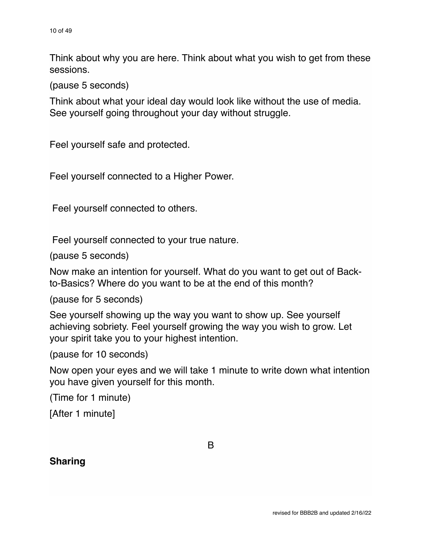Think about why you are here. Think about what you wish to get from these sessions.

(pause 5 seconds)

Think about what your ideal day would look like without the use of media. See yourself going throughout your day without struggle.

Feel yourself safe and protected.

Feel yourself connected to a Higher Power.

Feel yourself connected to others.

Feel yourself connected to your true nature.

(pause 5 seconds)

Now make an intention for yourself. What do you want to get out of Backto-Basics? Where do you want to be at the end of this month?

(pause for 5 seconds)

See yourself showing up the way you want to show up. See yourself achieving sobriety. Feel yourself growing the way you wish to grow. Let your spirit take you to your highest intention.

(pause for 10 seconds)

Now open your eyes and we will take 1 minute to write down what intention you have given yourself for this month.

(Time for 1 minute)

[After 1 minute]

**Sharing**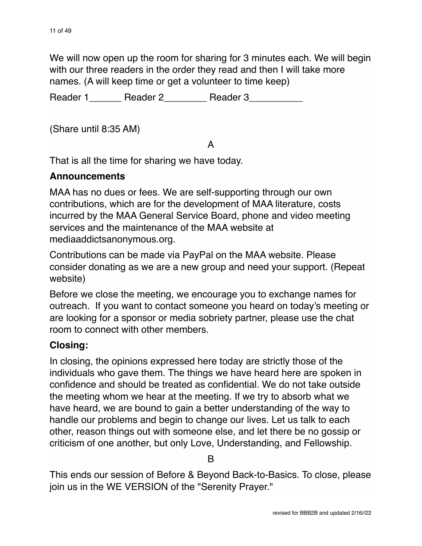We will now open up the room for sharing for 3 minutes each. We will begin with our three readers in the order they read and then I will take more names. (A will keep time or get a volunteer to time keep)

Reader 1 \_\_\_\_\_\_ Reader 2 \_\_\_\_\_\_\_ Reader 3

(Share until 8:35 AM)

A

That is all the time for sharing we have today.

### **Announcements**

MAA has no dues or fees. We are self-supporting through our own contributions, which are for the development of MAA literature, costs incurred by the MAA General Service Board, phone and video meeting services and the maintenance of the MAA website at mediaaddictsanonymous.org.

Contributions can be made via PayPal on the MAA website. Please consider donating as we are a new group and need your support. (Repeat website)

Before we close the meeting, we encourage you to exchange names for outreach. If you want to contact someone you heard on today's meeting or are looking for a sponsor or media sobriety partner, please use the chat room to connect with other members.

## **Closing:**

In closing, the opinions expressed here today are strictly those of the individuals who gave them. The things we have heard here are spoken in confidence and should be treated as confidential. We do not take outside the meeting whom we hear at the meeting. If we try to absorb what we have heard, we are bound to gain a better understanding of the way to handle our problems and begin to change our lives. Let us talk to each other, reason things out with someone else, and let there be no gossip or criticism of one another, but only Love, Understanding, and Fellowship.

B

This ends our session of Before & Beyond Back-to-Basics. To close, please join us in the WE VERSION of the "Serenity Prayer."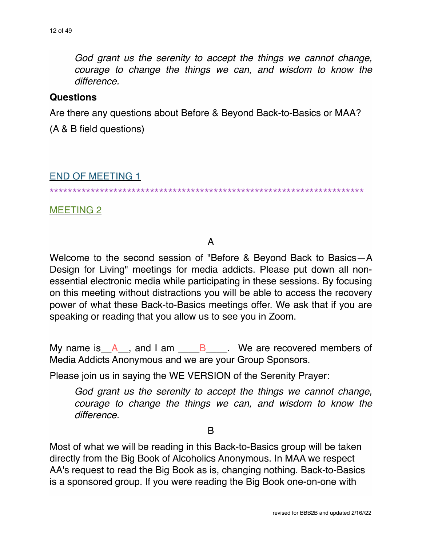*God grant us the serenity to accept the things we cannot change, courage to change the things we can, and wisdom to know the difference.*

### **Questions**

Are there any questions about Before & Beyond Back-to-Basics or MAA?

(A & B field questions)

## END OF MEETING 1

\*\*\*\*\*\*\*\*\*\*\*\*\*\*\*\*\*\*\*\*\*\*\*\*\*\*\*\*\*\*\*\*\*\*\*\*\*\*\*\*\*\*\*\*\*\*\*\*\*\*\*\*\*\*\*\*\*\*\*\*\*\*\*\*\*\*\*\*\*

MEETING 2

## A

Welcome to the second session of "Before & Beyond Back to Basics—A Design for Living" meetings for media addicts. Please put down all nonessential electronic media while participating in these sessions. By focusing on this meeting without distractions you will be able to access the recovery power of what these Back-to-Basics meetings offer. We ask that if you are speaking or reading that you allow us to see you in Zoom.

My name is  $A$ , and I am  $B$ . We are recovered members of Media Addicts Anonymous and we are your Group Sponsors.

Please join us in saying the WE VERSION of the Serenity Prayer:

*God grant us the serenity to accept the things we cannot change, courage to change the things we can, and wisdom to know the difference.*

B

Most of what we will be reading in this Back-to-Basics group will be taken directly from the Big Book of Alcoholics Anonymous. In MAA we respect AA's request to read the Big Book as is, changing nothing. Back-to-Basics is a sponsored group. If you were reading the Big Book one-on-one with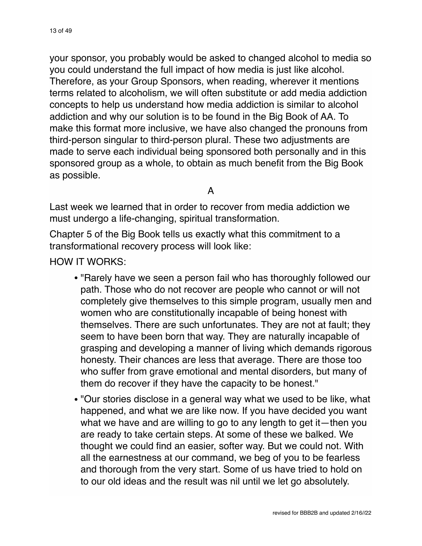your sponsor, you probably would be asked to changed alcohol to media so you could understand the full impact of how media is just like alcohol. Therefore, as your Group Sponsors, when reading, wherever it mentions terms related to alcoholism, we will often substitute or add media addiction concepts to help us understand how media addiction is similar to alcohol addiction and why our solution is to be found in the Big Book of AA. To make this format more inclusive, we have also changed the pronouns from third-person singular to third-person plural. These two adjustments are made to serve each individual being sponsored both personally and in this sponsored group as a whole, to obtain as much benefit from the Big Book as possible.

A

Last week we learned that in order to recover from media addiction we must undergo a life-changing, spiritual transformation.

Chapter 5 of the Big Book tells us exactly what this commitment to a transformational recovery process will look like:

HOW IT WORKS:

- "Rarely have we seen a person fail who has thoroughly followed our path. Those who do not recover are people who cannot or will not completely give themselves to this simple program, usually men and women who are constitutionally incapable of being honest with themselves. There are such unfortunates. They are not at fault; they seem to have been born that way. They are naturally incapable of grasping and developing a manner of living which demands rigorous honesty. Their chances are less that average. There are those too who suffer from grave emotional and mental disorders, but many of them do recover if they have the capacity to be honest."
- "Our stories disclose in a general way what we used to be like, what happened, and what we are like now. If you have decided you want what we have and are willing to go to any length to get it—then you are ready to take certain steps. At some of these we balked. We thought we could find an easier, softer way. But we could not. With all the earnestness at our command, we beg of you to be fearless and thorough from the very start. Some of us have tried to hold on to our old ideas and the result was nil until we let go absolutely.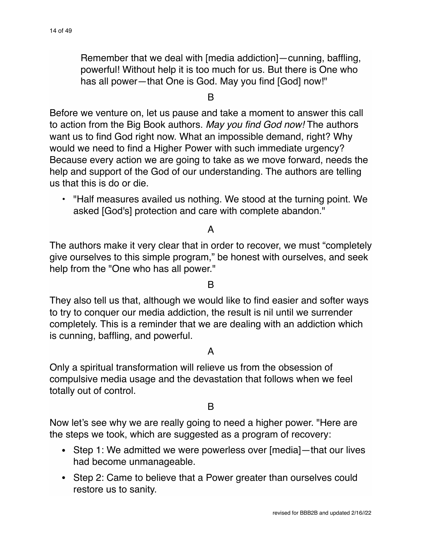Remember that we deal with [media addiction]—cunning, baffling, powerful! Without help it is too much for us. But there is One who has all power—that One is God. May you find [God] now!"

B

Before we venture on, let us pause and take a moment to answer this call to action from the Big Book authors. *May you find God now!* The authors want us to find God right now. What an impossible demand, right? Why would we need to find a Higher Power with such immediate urgency? Because every action we are going to take as we move forward, needs the help and support of the God of our understanding. The authors are telling us that this is do or die.

• "Half measures availed us nothing. We stood at the turning point. We asked [God's] protection and care with complete abandon."

A

The authors make it very clear that in order to recover, we must "completely give ourselves to this simple program," be honest with ourselves, and seek help from the "One who has all power."

B

They also tell us that, although we would like to find easier and softer ways to try to conquer our media addiction, the result is nil until we surrender completely. This is a reminder that we are dealing with an addiction which is cunning, baffling, and powerful.

#### A

Only a spiritual transformation will relieve us from the obsession of compulsive media usage and the devastation that follows when we feel totally out of control.

#### B

Now let's see why we are really going to need a higher power. "Here are the steps we took, which are suggested as a program of recovery:

- Step 1: We admitted we were powerless over [media]—that our lives had become unmanageable.
- Step 2: Came to believe that a Power greater than ourselves could restore us to sanity.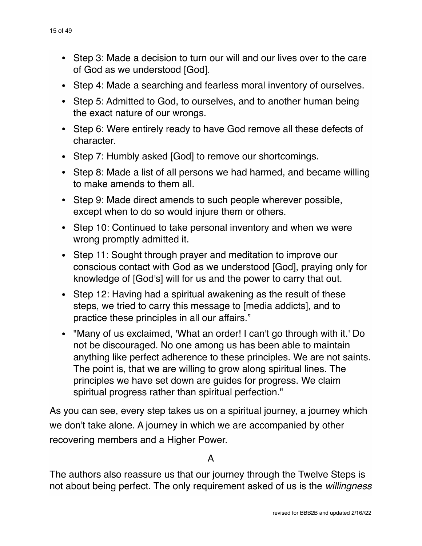- Step 3: Made a decision to turn our will and our lives over to the care of God as we understood [God].
- Step 4: Made a searching and fearless moral inventory of ourselves.
- Step 5: Admitted to God, to ourselves, and to another human being the exact nature of our wrongs.
- Step 6: Were entirely ready to have God remove all these defects of character.
- Step 7: Humbly asked [God] to remove our shortcomings.
- Step 8: Made a list of all persons we had harmed, and became willing to make amends to them all.
- Step 9: Made direct amends to such people wherever possible, except when to do so would injure them or others.
- Step 10: Continued to take personal inventory and when we were wrong promptly admitted it.
- Step 11: Sought through prayer and meditation to improve our conscious contact with God as we understood [God], praying only for knowledge of [God's] will for us and the power to carry that out.
- Step 12: Having had a spiritual awakening as the result of these steps, we tried to carry this message to [media addicts], and to practice these principles in all our affairs."
- "Many of us exclaimed, 'What an order! I can't go through with it.' Do not be discouraged. No one among us has been able to maintain anything like perfect adherence to these principles. We are not saints. The point is, that we are willing to grow along spiritual lines. The principles we have set down are guides for progress. We claim spiritual progress rather than spiritual perfection."

As you can see, every step takes us on a spiritual journey, a journey which we don't take alone. A journey in which we are accompanied by other recovering members and a Higher Power.

## A

The authors also reassure us that our journey through the Twelve Steps is not about being perfect. The only requirement asked of us is the *willingness*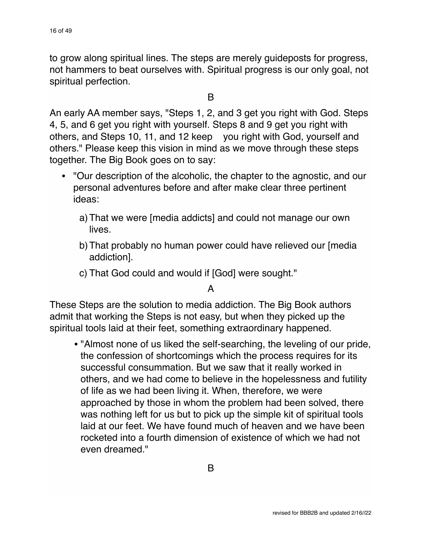to grow along spiritual lines. The steps are merely guideposts for progress, not hammers to beat ourselves with. Spiritual progress is our only goal, not spiritual perfection.

B

An early AA member says, "Steps 1, 2, and 3 get you right with God. Steps 4, 5, and 6 get you right with yourself. Steps 8 and 9 get you right with others, and Steps 10, 11, and 12 keep you right with God, yourself and others." Please keep this vision in mind as we move through these steps together. The Big Book goes on to say:

- "Our description of the alcoholic, the chapter to the agnostic, and our personal adventures before and after make clear three pertinent ideas:
	- a)That we were [media addicts] and could not manage our own lives.
	- b)That probably no human power could have relieved our [media addiction].
	- c) That God could and would if [God] were sought."

A

These Steps are the solution to media addiction. The Big Book authors admit that working the Steps is not easy, but when they picked up the spiritual tools laid at their feet, something extraordinary happened.

• "Almost none of us liked the self-searching, the leveling of our pride, the confession of shortcomings which the process requires for its successful consummation. But we saw that it really worked in others, and we had come to believe in the hopelessness and futility of life as we had been living it. When, therefore, we were approached by those in whom the problem had been solved, there was nothing left for us but to pick up the simple kit of spiritual tools laid at our feet. We have found much of heaven and we have been rocketed into a fourth dimension of existence of which we had not even dreamed."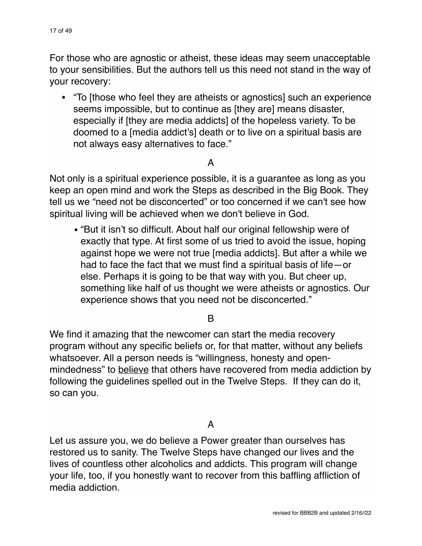For those who are agnostic or atheist, these ideas may seem unacceptable to your sensibilities. But the authors tell us this need not stand in the way of your recovery:

• "To [those who feel they are atheists or agnostics] such an experience seems impossible, but to continue as [they are] means disaster, especially if [they are media addicts] of the hopeless variety. To be doomed to a [media addict's] death or to live on a spiritual basis are not always easy alternatives to face."

### A

Not only is a spiritual experience possible, it is a guarantee as long as you keep an open mind and work the Steps as described in the Big Book. They tell us we "need not be disconcerted" or too concerned if we can't see how spiritual living will be achieved when we don't believe in God.

• "But it isn't so difficult. About half our original fellowship were of exactly that type. At first some of us tried to avoid the issue, hoping against hope we were not true [media addicts]. But after a while we had to face the fact that we must find a spiritual basis of life—or else. Perhaps it is going to be that way with you. But cheer up, something like half of us thought we were atheists or agnostics. Our experience shows that you need not be disconcerted."

B

We find it amazing that the newcomer can start the media recovery program without any specific beliefs or, for that matter, without any beliefs whatsoever. All a person needs is "willingness, honesty and openmindedness" to believe that others have recovered from media addiction by following the guidelines spelled out in the Twelve Steps. If they can do it, so can you.

#### A

Let us assure you, we do believe a Power greater than ourselves has restored us to sanity. The Twelve Steps have changed our lives and the lives of countless other alcoholics and addicts. This program will change your life, too, if you honestly want to recover from this baffling affliction of media addiction.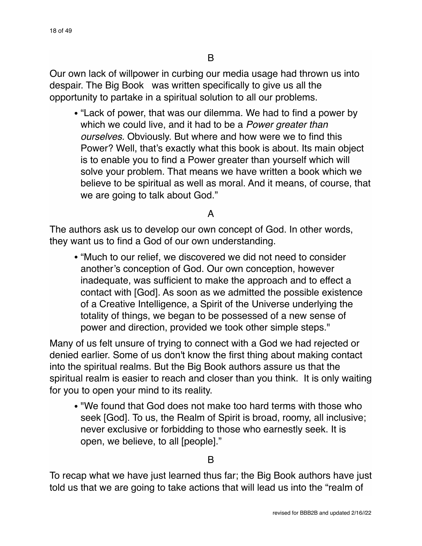Our own lack of willpower in curbing our media usage had thrown us into despair. The Big Book was written specifically to give us all the opportunity to partake in a spiritual solution to all our problems.

• "Lack of power, that was our dilemma. We had to find a power by which we could live, and it had to be a *Power greater than ourselves.* Obviously. But where and how were we to find this Power? Well, that's exactly what this book is about. Its main object is to enable you to find a Power greater than yourself which will solve your problem. That means we have written a book which we believe to be spiritual as well as moral. And it means, of course, that we are going to talk about God."

## A

The authors ask us to develop our own concept of God. In other words, they want us to find a God of our own understanding.

• "Much to our relief, we discovered we did not need to consider another's conception of God. Our own conception, however inadequate, was sufficient to make the approach and to effect a contact with [God]. As soon as we admitted the possible existence of a Creative Intelligence, a Spirit of the Universe underlying the totality of things, we began to be possessed of a new sense of power and direction, provided we took other simple steps."

Many of us felt unsure of trying to connect with a God we had rejected or denied earlier. Some of us don't know the first thing about making contact into the spiritual realms. But the Big Book authors assure us that the spiritual realm is easier to reach and closer than you think. It is only waiting for you to open your mind to its reality.

• "We found that God does not make too hard terms with those who seek [God]. To us, the Realm of Spirit is broad, roomy, all inclusive; never exclusive or forbidding to those who earnestly seek. It is open, we believe, to all [people]."

#### B

To recap what we have just learned thus far; the Big Book authors have just told us that we are going to take actions that will lead us into the "realm of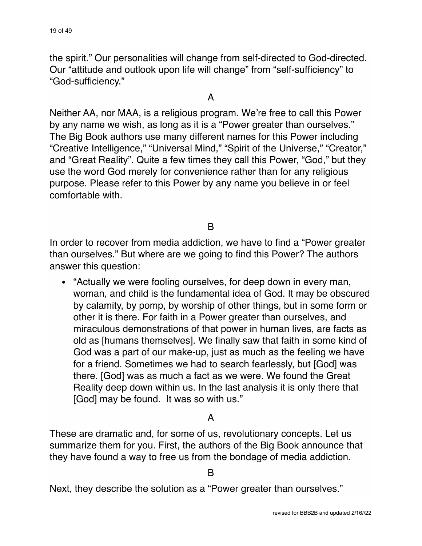the spirit." Our personalities will change from self-directed to God-directed. Our "attitude and outlook upon life will change" from "self-sufficiency" to "God-sufficiency."

A

Neither AA, nor MAA, is a religious program. We're free to call this Power by any name we wish, as long as it is a "Power greater than ourselves." The Big Book authors use many different names for this Power including "Creative Intelligence," "Universal Mind," "Spirit of the Universe," "Creator," and "Great Reality". Quite a few times they call this Power, "God," but they use the word God merely for convenience rather than for any religious purpose. Please refer to this Power by any name you believe in or feel comfortable with.

B

In order to recover from media addiction, we have to find a "Power greater than ourselves." But where are we going to find this Power? The authors answer this question:

• "Actually we were fooling ourselves, for deep down in every man, woman, and child is the fundamental idea of God. It may be obscured by calamity, by pomp, by worship of other things, but in some form or other it is there. For faith in a Power greater than ourselves, and miraculous demonstrations of that power in human lives, are facts as old as [humans themselves]. We finally saw that faith in some kind of God was a part of our make-up, just as much as the feeling we have for a friend. Sometimes we had to search fearlessly, but [God] was there. [God] was as much a fact as we were. We found the Great Reality deep down within us. In the last analysis it is only there that [God] may be found. It was so with us."

## A

These are dramatic and, for some of us, revolutionary concepts. Let us summarize them for you. First, the authors of the Big Book announce that they have found a way to free us from the bondage of media addiction.

#### B

Next, they describe the solution as a "Power greater than ourselves."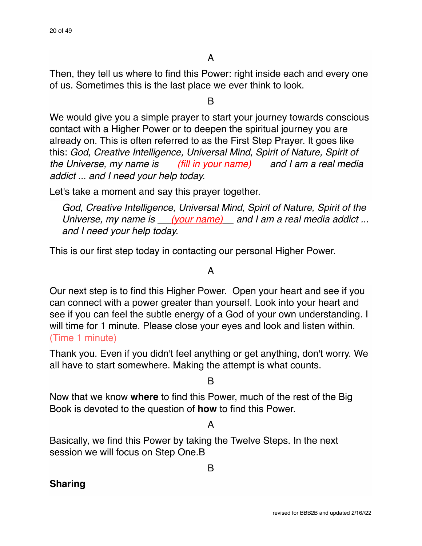Then, they tell us where to find this Power: right inside each and every one of us. Sometimes this is the last place we ever think to look.

B

We would give you a simple prayer to start your journey towards conscious contact with a Higher Power or to deepen the spiritual journey you are already on. This is often referred to as the First Step Prayer. It goes like this: *God, Creative Intelligence, Universal Mind, Spirit of Nature, Spirit of the Universe, my name is (fill in your name) and I am a real media addict ... and I need your help today.* 

Let's take a moment and say this prayer together.

*God, Creative Intelligence, Universal Mind, Spirit of Nature, Spirit of the Universe, my name is (your name) and I am a real media addict ... and I need your help today.*

This is our first step today in contacting our personal Higher Power.

## A

Our next step is to find this Higher Power. Open your heart and see if you can connect with a power greater than yourself. Look into your heart and see if you can feel the subtle energy of a God of your own understanding. I will time for 1 minute. Please close your eyes and look and listen within. (Time 1 minute)

Thank you. Even if you didn't feel anything or get anything, don't worry. We all have to start somewhere. Making the attempt is what counts.

B

Now that we know **where** to find this Power, much of the rest of the Big Book is devoted to the question of **how** to find this Power.

A

Basically, we find this Power by taking the Twelve Steps. In the next session we will focus on Step One.B

B

## **Sharing**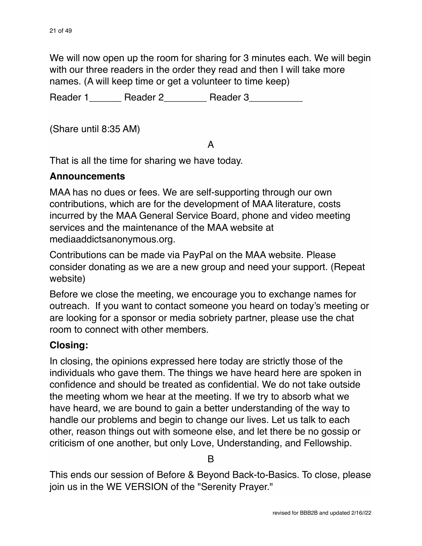We will now open up the room for sharing for 3 minutes each. We will begin with our three readers in the order they read and then I will take more names. (A will keep time or get a volunteer to time keep)

Reader 1 \_\_\_\_\_\_ Reader 2 \_\_\_\_\_\_\_ Reader 3

(Share until 8:35 AM)

A

That is all the time for sharing we have today.

## **Announcements**

MAA has no dues or fees. We are self-supporting through our own contributions, which are for the development of MAA literature, costs incurred by the MAA General Service Board, phone and video meeting services and the maintenance of the MAA website at mediaaddictsanonymous.org.

Contributions can be made via PayPal on the MAA website. Please consider donating as we are a new group and need your support. (Repeat website)

Before we close the meeting, we encourage you to exchange names for outreach. If you want to contact someone you heard on today's meeting or are looking for a sponsor or media sobriety partner, please use the chat room to connect with other members.

## **Closing:**

In closing, the opinions expressed here today are strictly those of the individuals who gave them. The things we have heard here are spoken in confidence and should be treated as confidential. We do not take outside the meeting whom we hear at the meeting. If we try to absorb what we have heard, we are bound to gain a better understanding of the way to handle our problems and begin to change our lives. Let us talk to each other, reason things out with someone else, and let there be no gossip or criticism of one another, but only Love, Understanding, and Fellowship.

B

This ends our session of Before & Beyond Back-to-Basics. To close, please join us in the WE VERSION of the "Serenity Prayer."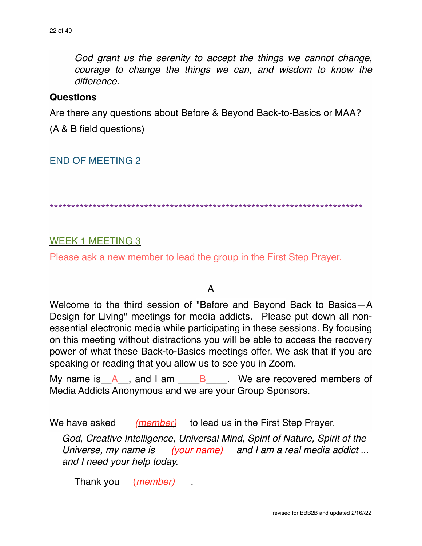*God grant us the serenity to accept the things we cannot change, courage to change the things we can, and wisdom to know the difference.*

#### **Questions**

Are there any questions about Before & Beyond Back-to-Basics or MAA?

(A & B field questions)

END OF MEETING 2

\*\*\*\*\*\*\*\*\*\*\*\*\*\*\*\*\*\*\*\*\*\*\*\*\*\*\*\*\*\*\*\*\*\*\*\*\*\*\*\*\*\*\*\*\*\*\*\*\*\*\*\*\*\*\*\*\*\*\*\*\*\*\*\*\*\*\*\*\*\*\*\*\*

#### WEEK 1 MEETING 3

Please ask a new member to lead the group in the First Step Prayer.

#### A

Welcome to the third session of "Before and Beyond Back to Basics—A Design for Living" meetings for media addicts. Please put down all nonessential electronic media while participating in these sessions. By focusing on this meeting without distractions you will be able to access the recovery power of what these Back-to-Basics meetings offer. We ask that if you are speaking or reading that you allow us to see you in Zoom.

My name is  $A$ , and I am  $B$ . We are recovered members of Media Addicts Anonymous and we are your Group Sponsors.

We have asked *\_\_\_\_\_(member)* to lead us in the First Step Prayer.

*God, Creative Intelligence, Universal Mind, Spirit of Nature, Spirit of the Universe, my name is (your name) and I am a real media addict ... and I need your help today.*

Thank you \_\_(*member)*\_\_\_.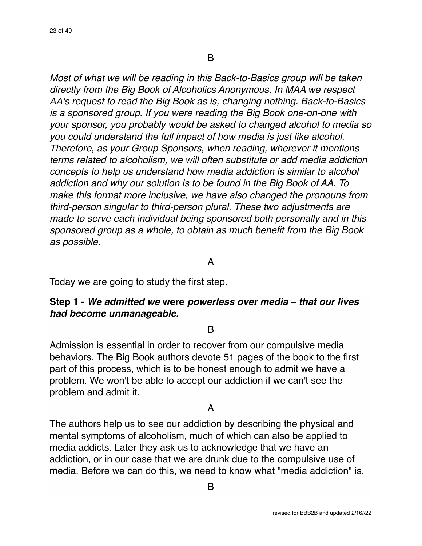*Most of what we will be reading in this Back-to-Basics group will be taken directly from the Big Book of Alcoholics Anonymous. In MAA we respect AA's request to read the Big Book as is, changing nothing. Back-to-Basics is a sponsored group. If you were reading the Big Book one-on-one with your sponsor, you probably would be asked to changed alcohol to media so you could understand the full impact of how media is just like alcohol. Therefore, as your Group Sponsors, when reading, wherever it mentions terms related to alcoholism, we will often substitute or add media addiction concepts to help us understand how media addiction is similar to alcohol addiction and why our solution is to be found in the Big Book of AA. To make this format more inclusive, we have also changed the pronouns from third-person singular to third-person plural. These two adjustments are made to serve each individual being sponsored both personally and in this sponsored group as a whole, to obtain as much benefit from the Big Book as possible.*

## A

Today we are going to study the first step.

## **Step 1 -** *We admitted we* **were** *powerless over media – that our lives had become unmanageable.*

#### B

Admission is essential in order to recover from our compulsive media behaviors. The Big Book authors devote 51 pages of the book to the first part of this process, which is to be honest enough to admit we have a problem. We won't be able to accept our addiction if we can't see the problem and admit it.

## A

The authors help us to see our addiction by describing the physical and mental symptoms of alcoholism, much of which can also be applied to media addicts. Later they ask us to acknowledge that we have an addiction, or in our case that we are drunk due to the compulsive use of media. Before we can do this, we need to know what "media addiction" is.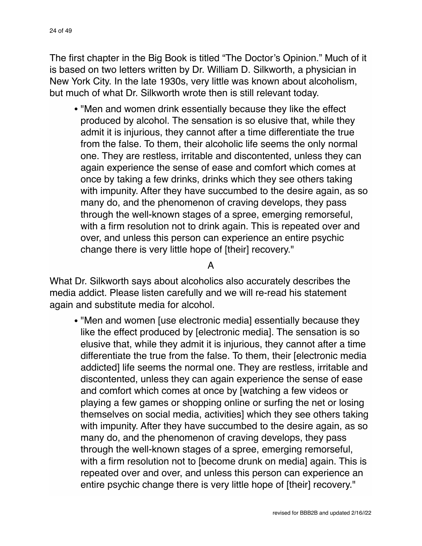The first chapter in the Big Book is titled "The Doctor's Opinion." Much of it is based on two letters written by Dr. William D. Silkworth, a physician in New York City. In the late 1930s, very little was known about alcoholism, but much of what Dr. Silkworth wrote then is still relevant today.

• "Men and women drink essentially because they like the effect produced by alcohol. The sensation is so elusive that, while they admit it is injurious, they cannot after a time differentiate the true from the false. To them, their alcoholic life seems the only normal one. They are restless, irritable and discontented, unless they can again experience the sense of ease and comfort which comes at once by taking a few drinks, drinks which they see others taking with impunity. After they have succumbed to the desire again, as so many do, and the phenomenon of craving develops, they pass through the well-known stages of a spree, emerging remorseful, with a firm resolution not to drink again. This is repeated over and over, and unless this person can experience an entire psychic change there is very little hope of [their] recovery."

A

What Dr. Silkworth says about alcoholics also accurately describes the media addict. Please listen carefully and we will re-read his statement again and substitute media for alcohol.

• "Men and women [use electronic media] essentially because they like the effect produced by [electronic media]. The sensation is so elusive that, while they admit it is injurious, they cannot after a time differentiate the true from the false. To them, their [electronic media addicted] life seems the normal one. They are restless, irritable and discontented, unless they can again experience the sense of ease and comfort which comes at once by [watching a few videos or playing a few games or shopping online or surfing the net or losing themselves on social media, activities] which they see others taking with impunity. After they have succumbed to the desire again, as so many do, and the phenomenon of craving develops, they pass through the well-known stages of a spree, emerging remorseful, with a firm resolution not to [become drunk on media] again. This is repeated over and over, and unless this person can experience an entire psychic change there is very little hope of [their] recovery."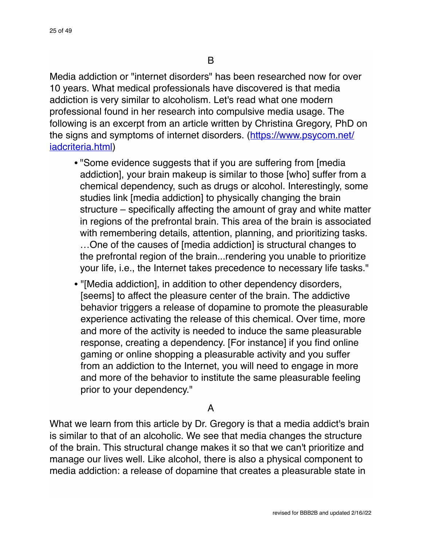Media addiction or "internet disorders" has been researched now for over 10 years. What medical professionals have discovered is that media addiction is very similar to alcoholism. Let's read what one modern professional found in her research into compulsive media usage. The following is an excerpt from an article written by Christina Gregory, PhD on [the signs and symptoms of internet disorders. \(https://www.psycom.net/](https://www.psycom.net/iadcriteria.html) iadcriteria.html)

- "Some evidence suggests that if you are suffering from [media addiction], your brain makeup is similar to those [who] suffer from a chemical dependency, such as drugs or alcohol. Interestingly, some studies link [media addiction] to physically changing the brain structure – specifically affecting the amount of gray and white matter in regions of the prefrontal brain. This area of the brain is associated with remembering details, attention, planning, and prioritizing tasks. …One of the causes of [media addiction] is structural changes to the prefrontal region of the brain...rendering you unable to prioritize your life, i.e., the Internet takes precedence to necessary life tasks."
- "[Media addiction], in addition to other dependency disorders, [seems] to affect the pleasure center of the brain. The addictive behavior triggers a release of dopamine to promote the pleasurable experience activating the release of this chemical. Over time, more and more of the activity is needed to induce the same pleasurable response, creating a dependency. [For instance] if you find online gaming or online shopping a pleasurable activity and you suffer from an addiction to the Internet, you will need to engage in more and more of the behavior to institute the same pleasurable feeling prior to your dependency."

## A

What we learn from this article by Dr. Gregory is that a media addict's brain is similar to that of an alcoholic. We see that media changes the structure of the brain. This structural change makes it so that we can't prioritize and manage our lives well. Like alcohol, there is also a physical component to media addiction: a release of dopamine that creates a pleasurable state in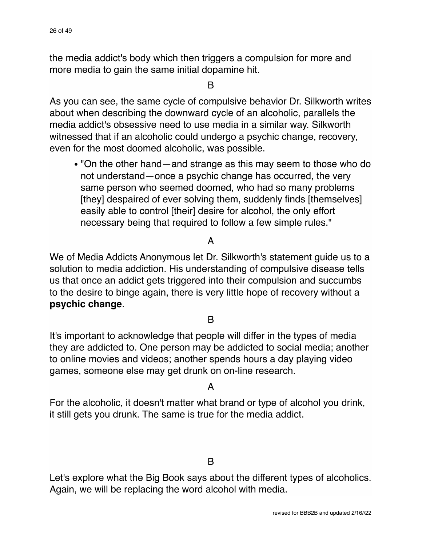26 of 49

the media addict's body which then triggers a compulsion for more and more media to gain the same initial dopamine hit.

B

As you can see, the same cycle of compulsive behavior Dr. Silkworth writes about when describing the downward cycle of an alcoholic, parallels the media addict's obsessive need to use media in a similar way. Silkworth witnessed that if an alcoholic could undergo a psychic change, recovery, even for the most doomed alcoholic, was possible.

• "On the other hand—and strange as this may seem to those who do not understand—once a psychic change has occurred, the very same person who seemed doomed, who had so many problems [they] despaired of ever solving them, suddenly finds [themselves] easily able to control [their] desire for alcohol, the only effort necessary being that required to follow a few simple rules."

## A

We of Media Addicts Anonymous let Dr. Silkworth's statement guide us to a solution to media addiction. His understanding of compulsive disease tells us that once an addict gets triggered into their compulsion and succumbs to the desire to binge again, there is very little hope of recovery without a **psychic change**.

## B

It's important to acknowledge that people will differ in the types of media they are addicted to. One person may be addicted to social media; another to online movies and videos; another spends hours a day playing video games, someone else may get drunk on on-line research.

## A

For the alcoholic, it doesn't matter what brand or type of alcohol you drink, it still gets you drunk. The same is true for the media addict.

Let's explore what the Big Book says about the different types of alcoholics. Again, we will be replacing the word alcohol with media.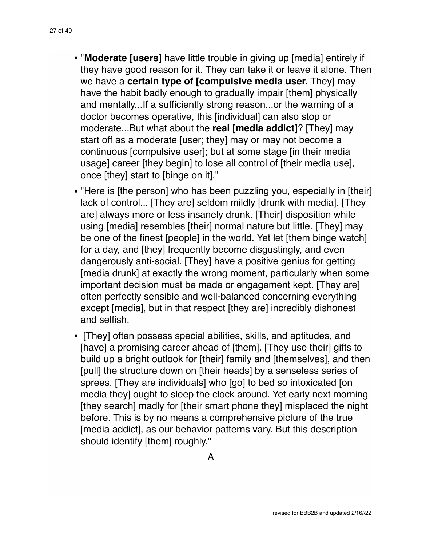- "**Moderate [users]** have little trouble in giving up [media] entirely if they have good reason for it. They can take it or leave it alone. Then we have a **certain type of [compulsive media user.** They] may have the habit badly enough to gradually impair [them] physically and mentally...If a sufficiently strong reason...or the warning of a doctor becomes operative, this [individual] can also stop or moderate...But what about the **real [media addict]**? [They] may start off as a moderate [user; they] may or may not become a continuous [compulsive user]; but at some stage [in their media usage] career [they begin] to lose all control of [their media use], once [they] start to [binge on it]."
- "Here is [the person] who has been puzzling you, especially in [their] lack of control... [They are] seldom mildly [drunk with media]. [They are] always more or less insanely drunk. [Their] disposition while using [media] resembles [their] normal nature but little. [They] may be one of the finest [people] in the world. Yet let [them binge watch] for a day, and [they] frequently become disgustingly, and even dangerously anti-social. [They] have a positive genius for getting [media drunk] at exactly the wrong moment, particularly when some important decision must be made or engagement kept. [They are] often perfectly sensible and well-balanced concerning everything except [media], but in that respect [they are] incredibly dishonest and selfish.
- [They] often possess special abilities, skills, and aptitudes, and [have] a promising career ahead of [them]. [They use their] gifts to build up a bright outlook for [their] family and [themselves], and then [pull] the structure down on [their heads] by a senseless series of sprees. [They are individuals] who [go] to bed so intoxicated [on media they] ought to sleep the clock around. Yet early next morning [they search] madly for [their smart phone they] misplaced the night before. This is by no means a comprehensive picture of the true [media addict], as our behavior patterns vary. But this description should identify [them] roughly."

A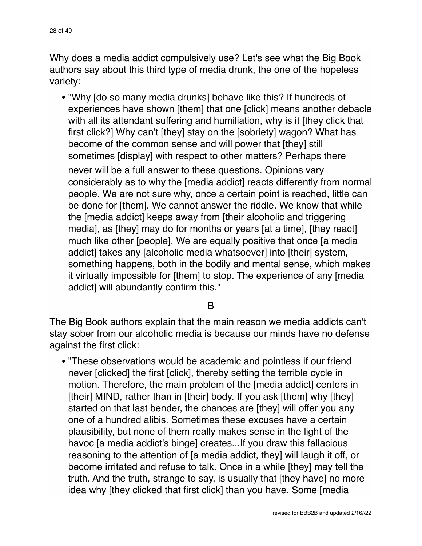Why does a media addict compulsively use? Let's see what the Big Book authors say about this third type of media drunk, the one of the hopeless variety:

• "Why [do so many media drunks] behave like this? If hundreds of experiences have shown [them] that one [click] means another debacle with all its attendant suffering and humiliation, why is it [they click that first click?] Why can't [they] stay on the [sobriety] wagon? What has become of the common sense and will power that [they] still sometimes [display] with respect to other matters? Perhaps there never will be a full answer to these questions. Opinions vary considerably as to why the [media addict] reacts differently from normal people. We are not sure why, once a certain point is reached, little can be done for [them]. We cannot answer the riddle. We know that while the [media addict] keeps away from [their alcoholic and triggering media], as [they] may do for months or years [at a time], [they react] much like other [people]. We are equally positive that once [a media addict] takes any [alcoholic media whatsoever] into [their] system, something happens, both in the bodily and mental sense, which makes it virtually impossible for [them] to stop. The experience of any [media addict] will abundantly confirm this."

B

The Big Book authors explain that the main reason we media addicts can't stay sober from our alcoholic media is because our minds have no defense against the first click:

• "These observations would be academic and pointless if our friend never [clicked] the first [click], thereby setting the terrible cycle in motion. Therefore, the main problem of the [media addict] centers in [their] MIND, rather than in [their] body. If you ask [them] why [they] started on that last bender, the chances are [they] will offer you any one of a hundred alibis. Sometimes these excuses have a certain plausibility, but none of them really makes sense in the light of the havoc [a media addict's binge] creates...If you draw this fallacious reasoning to the attention of [a media addict, they] will laugh it off, or become irritated and refuse to talk. Once in a while [they] may tell the truth. And the truth, strange to say, is usually that [they have] no more idea why [they clicked that first click] than you have. Some [media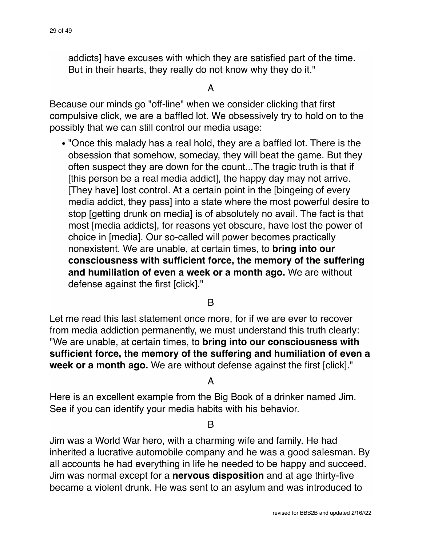addicts] have excuses with which they are satisfied part of the time. But in their hearts, they really do not know why they do it."

A

Because our minds go "off-line" when we consider clicking that first compulsive click, we are a baffled lot. We obsessively try to hold on to the possibly that we can still control our media usage:

• "Once this malady has a real hold, they are a baffled lot. There is the obsession that somehow, someday, they will beat the game. But they often suspect they are down for the count...The tragic truth is that if [this person be a real media addict], the happy day may not arrive. [They have] lost control. At a certain point in the [bingeing of every media addict, they pass] into a state where the most powerful desire to stop [getting drunk on media] is of absolutely no avail. The fact is that most [media addicts], for reasons yet obscure, have lost the power of choice in [media]. Our so-called will power becomes practically nonexistent. We are unable, at certain times, to **bring into our consciousness with sufficient force, the memory of the suffering and humiliation of even a week or a month ago.** We are without defense against the first [click]."

B

Let me read this last statement once more, for if we are ever to recover from media addiction permanently, we must understand this truth clearly: "We are unable, at certain times, to **bring into our consciousness with sufficient force, the memory of the suffering and humiliation of even a week or a month ago.** We are without defense against the first [click]."

A

Here is an excellent example from the Big Book of a drinker named Jim. See if you can identify your media habits with his behavior.

B

Jim was a World War hero, with a charming wife and family. He had inherited a lucrative automobile company and he was a good salesman. By all accounts he had everything in life he needed to be happy and succeed. Jim was normal except for a **nervous disposition** and at age thirty-five became a violent drunk. He was sent to an asylum and was introduced to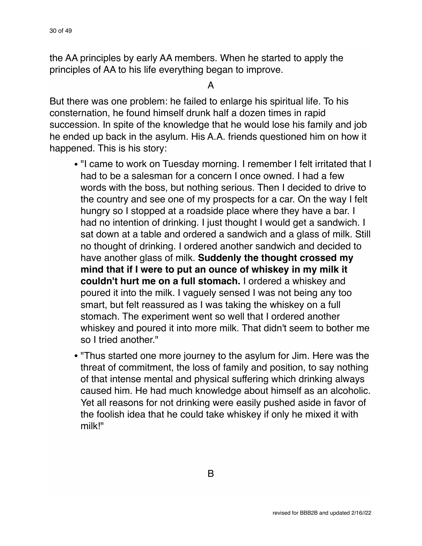the AA principles by early AA members. When he started to apply the principles of AA to his life everything began to improve.

A

But there was one problem: he failed to enlarge his spiritual life. To his consternation, he found himself drunk half a dozen times in rapid succession. In spite of the knowledge that he would lose his family and job he ended up back in the asylum. His A.A. friends questioned him on how it happened. This is his story:

- "I came to work on Tuesday morning. I remember I felt irritated that I had to be a salesman for a concern I once owned. I had a few words with the boss, but nothing serious. Then I decided to drive to the country and see one of my prospects for a car. On the way I felt hungry so I stopped at a roadside place where they have a bar. I had no intention of drinking. I just thought I would get a sandwich. I sat down at a table and ordered a sandwich and a glass of milk. Still no thought of drinking. I ordered another sandwich and decided to have another glass of milk. **Suddenly the thought crossed my mind that if I were to put an ounce of whiskey in my milk it couldn't hurt me on a full stomach.** I ordered a whiskey and poured it into the milk. I vaguely sensed I was not being any too smart, but felt reassured as I was taking the whiskey on a full stomach. The experiment went so well that I ordered another whiskey and poured it into more milk. That didn't seem to bother me so I tried another."
- "Thus started one more journey to the asylum for Jim. Here was the threat of commitment, the loss of family and position, to say nothing of that intense mental and physical suffering which drinking always caused him. He had much knowledge about himself as an alcoholic. Yet all reasons for not drinking were easily pushed aside in favor of the foolish idea that he could take whiskey if only he mixed it with milk!"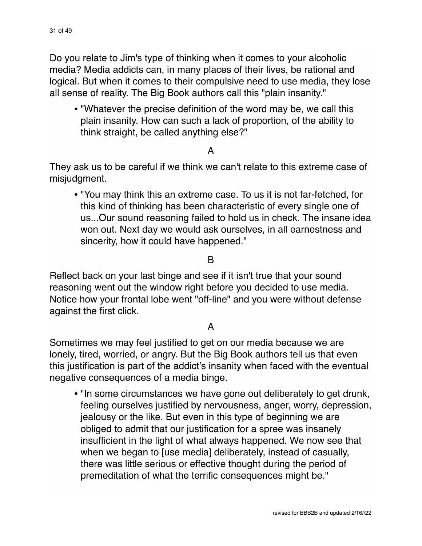Do you relate to Jim's type of thinking when it comes to your alcoholic media? Media addicts can, in many places of their lives, be rational and logical. But when it comes to their compulsive need to use media, they lose all sense of reality. The Big Book authors call this "plain insanity."

• "Whatever the precise definition of the word may be, we call this plain insanity. How can such a lack of proportion, of the ability to think straight, be called anything else?"

## A

They ask us to be careful if we think we can't relate to this extreme case of misjudgment.

• "You may think this an extreme case. To us it is not far-fetched, for this kind of thinking has been characteristic of every single one of us...Our sound reasoning failed to hold us in check. The insane idea won out. Next day we would ask ourselves, in all earnestness and sincerity, how it could have happened."

#### B

Reflect back on your last binge and see if it isn't true that your sound reasoning went out the window right before you decided to use media. Notice how your frontal lobe went "off-line" and you were without defense against the first click.

## A

Sometimes we may feel justified to get on our media because we are lonely, tired, worried, or angry. But the Big Book authors tell us that even this justification is part of the addict's insanity when faced with the eventual negative consequences of a media binge.

• "In some circumstances we have gone out deliberately to get drunk, feeling ourselves justified by nervousness, anger, worry, depression, jealousy or the like. But even in this type of beginning we are obliged to admit that our justification for a spree was insanely insufficient in the light of what always happened. We now see that when we began to [use media] deliberately, instead of casually, there was little serious or effective thought during the period of premeditation of what the terrific consequences might be."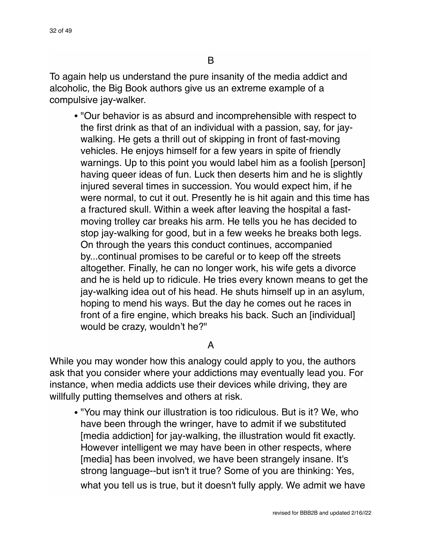To again help us understand the pure insanity of the media addict and alcoholic, the Big Book authors give us an extreme example of a compulsive jay-walker.

• "Our behavior is as absurd and incomprehensible with respect to the first drink as that of an individual with a passion, say, for jaywalking. He gets a thrill out of skipping in front of fast-moving vehicles. He enjoys himself for a few years in spite of friendly warnings. Up to this point you would label him as a foolish [person] having queer ideas of fun. Luck then deserts him and he is slightly injured several times in succession. You would expect him, if he were normal, to cut it out. Presently he is hit again and this time has a fractured skull. Within a week after leaving the hospital a fastmoving trolley car breaks his arm. He tells you he has decided to stop jay-walking for good, but in a few weeks he breaks both legs. On through the years this conduct continues, accompanied by...continual promises to be careful or to keep off the streets altogether. Finally, he can no longer work, his wife gets a divorce and he is held up to ridicule. He tries every known means to get the jay-walking idea out of his head. He shuts himself up in an asylum, hoping to mend his ways. But the day he comes out he races in front of a fire engine, which breaks his back. Such an [individual] would be crazy, wouldn't he?"

A

While you may wonder how this analogy could apply to you, the authors ask that you consider where your addictions may eventually lead you. For instance, when media addicts use their devices while driving, they are willfully putting themselves and others at risk.

• "You may think our illustration is too ridiculous. But is it? We, who have been through the wringer, have to admit if we substituted [media addiction] for jay-walking, the illustration would fit exactly. However intelligent we may have been in other respects, where [media] has been involved, we have been strangely insane. It's strong language--but isn't it true? Some of you are thinking: Yes, what you tell us is true, but it doesn't fully apply. We admit we have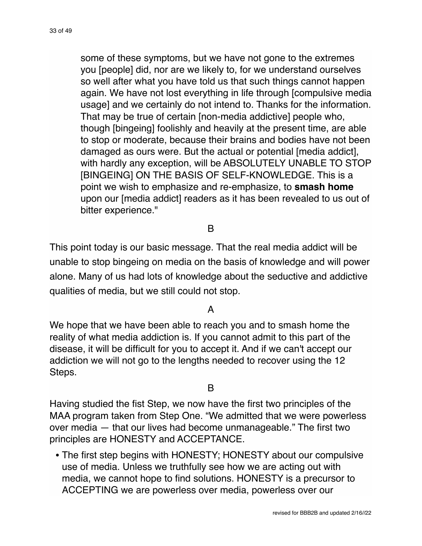some of these symptoms, but we have not gone to the extremes you [people] did, nor are we likely to, for we understand ourselves so well after what you have told us that such things cannot happen again. We have not lost everything in life through [compulsive media usage] and we certainly do not intend to. Thanks for the information. That may be true of certain [non-media addictive] people who, though [bingeing] foolishly and heavily at the present time, are able to stop or moderate, because their brains and bodies have not been damaged as ours were. But the actual or potential [media addict], with hardly any exception, will be ABSOLUTELY UNABLE TO STOP [BINGEING] ON THE BASIS OF SELF-KNOWLEDGE. This is a point we wish to emphasize and re-emphasize, to **smash home** upon our [media addict] readers as it has been revealed to us out of bitter experience."

## B

This point today is our basic message. That the real media addict will be unable to stop bingeing on media on the basis of knowledge and will power alone. Many of us had lots of knowledge about the seductive and addictive qualities of media, but we still could not stop.

## A

We hope that we have been able to reach you and to smash home the reality of what media addiction is. If you cannot admit to this part of the disease, it will be difficult for you to accept it. And if we can't accept our addiction we will not go to the lengths needed to recover using the 12 Steps.

#### B

Having studied the fist Step, we now have the first two principles of the MAA program taken from Step One. "We admitted that we were powerless over media — that our lives had become unmanageable." The first two principles are HONESTY and ACCEPTANCE.

• The first step begins with HONESTY; HONESTY about our compulsive use of media. Unless we truthfully see how we are acting out with media, we cannot hope to find solutions. HONESTY is a precursor to ACCEPTING we are powerless over media, powerless over our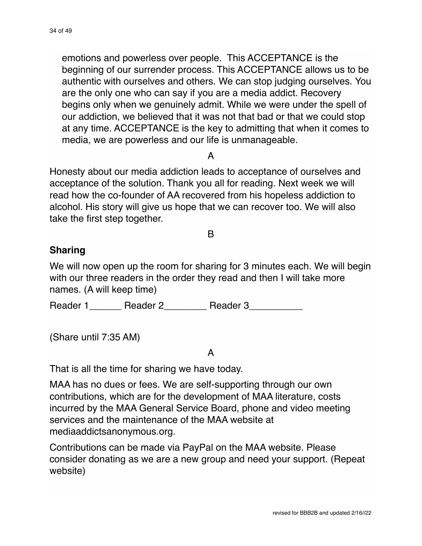emotions and powerless over people. This ACCEPTANCE is the beginning of our surrender process. This ACCEPTANCE allows us to be authentic with ourselves and others. We can stop judging ourselves. You are the only one who can say if you are a media addict. Recovery begins only when we genuinely admit. While we were under the spell of our addiction, we believed that it was not that bad or that we could stop at any time. ACCEPTANCE is the key to admitting that when it comes to media, we are powerless and our life is unmanageable.

#### A

Honesty about our media addiction leads to acceptance of ourselves and acceptance of the solution. Thank you all for reading. Next week we will read how the co-founder of AA recovered from his hopeless addiction to alcohol. His story will give us hope that we can recover too. We will also take the first step together.

#### B

## **Sharing**

We will now open up the room for sharing for 3 minutes each. We will begin with our three readers in the order they read and then I will take more names. (A will keep time)

Reader 1\_\_\_\_\_\_\_ Reader 2\_\_\_\_\_\_\_\_ Reader 3\_\_\_\_\_\_

(Share until 7:35 AM)

#### A

That is all the time for sharing we have today.

MAA has no dues or fees. We are self-supporting through our own contributions, which are for the development of MAA literature, costs incurred by the MAA General Service Board, phone and video meeting services and the maintenance of the MAA website at mediaaddictsanonymous.org.

Contributions can be made via PayPal on the MAA website. Please consider donating as we are a new group and need your support. (Repeat website)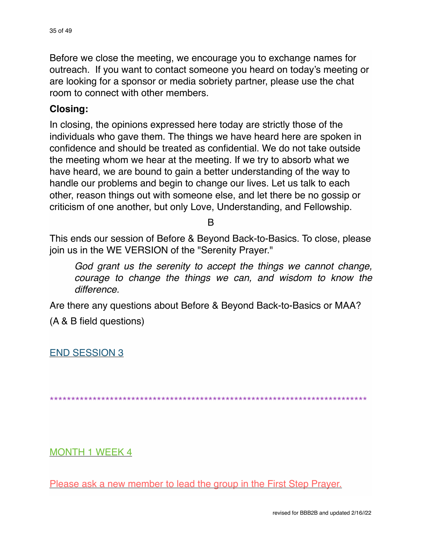Before we close the meeting, we encourage you to exchange names for outreach. If you want to contact someone you heard on today's meeting or are looking for a sponsor or media sobriety partner, please use the chat room to connect with other members.

### **Closing:**

In closing, the opinions expressed here today are strictly those of the individuals who gave them. The things we have heard here are spoken in confidence and should be treated as confidential. We do not take outside the meeting whom we hear at the meeting. If we try to absorb what we have heard, we are bound to gain a better understanding of the way to handle our problems and begin to change our lives. Let us talk to each other, reason things out with someone else, and let there be no gossip or criticism of one another, but only Love, Understanding, and Fellowship.

B

This ends our session of Before & Beyond Back-to-Basics. To close, please join us in the WE VERSION of the "Serenity Prayer."

*God grant us the serenity to accept the things we cannot change, courage to change the things we can, and wisdom to know the difference.*

Are there any questions about Before & Beyond Back-to-Basics or MAA?

(A & B field questions)

END SESSION 3

\*\*\*\*\*\*\*\*\*\*\*\*\*\*\*\*\*\*\*\*\*\*\*\*\*\*\*\*\*\*\*\*\*\*\*\*\*\*\*\*\*\*\*\*\*\*\*\*\*\*\*\*\*\*\*\*\*\*\*\*\*\*\*\*\*\*\*\*\*\*\*\*\*\*

MONTH 1 WEEK 4

Please ask a new member to lead the group in the First Step Prayer.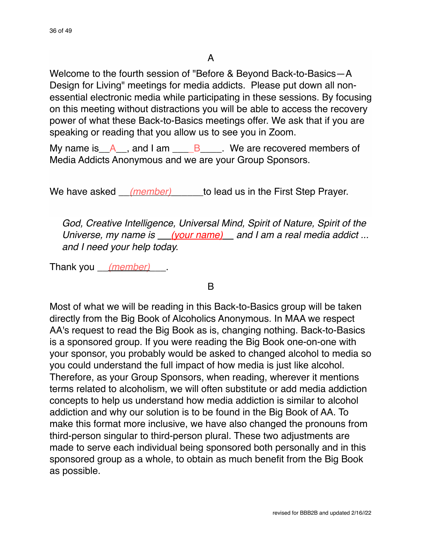Welcome to the fourth session of "Before & Beyond Back-to-Basics—A Design for Living" meetings for media addicts. Please put down all nonessential electronic media while participating in these sessions. By focusing on this meeting without distractions you will be able to access the recovery power of what these Back-to-Basics meetings offer. We ask that if you are speaking or reading that you allow us to see you in Zoom.

My name is  $A_{-}$ , and I am  $B_{-}$ . We are recovered members of Media Addicts Anonymous and we are your Group Sponsors.

We have asked *<u>(member)*</u> to lead us in the First Step Prayer.

*God, Creative Intelligence, Universal Mind, Spirit of Nature, Spirit of the Universe, my name is (your name) and I am a real media addict ... and I need your help today.*

Thank you \_\_*(member)*\_\_\_.

B

Most of what we will be reading in this Back-to-Basics group will be taken directly from the Big Book of Alcoholics Anonymous. In MAA we respect AA's request to read the Big Book as is, changing nothing. Back-to-Basics is a sponsored group. If you were reading the Big Book one-on-one with your sponsor, you probably would be asked to changed alcohol to media so you could understand the full impact of how media is just like alcohol. Therefore, as your Group Sponsors, when reading, wherever it mentions terms related to alcoholism, we will often substitute or add media addiction concepts to help us understand how media addiction is similar to alcohol addiction and why our solution is to be found in the Big Book of AA. To make this format more inclusive, we have also changed the pronouns from third-person singular to third-person plural. These two adjustments are made to serve each individual being sponsored both personally and in this sponsored group as a whole, to obtain as much benefit from the Big Book as possible.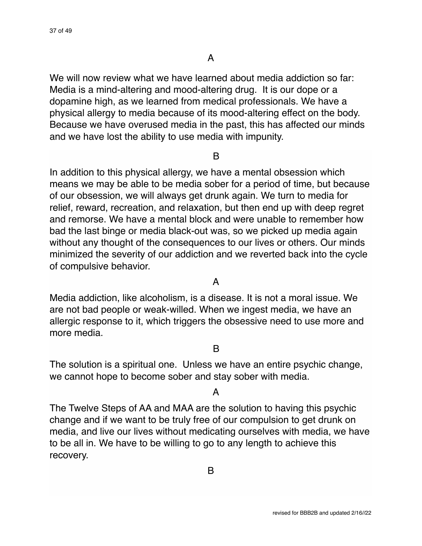We will now review what we have learned about media addiction so far: Media is a mind-altering and mood-altering drug. It is our dope or a dopamine high, as we learned from medical professionals. We have a physical allergy to media because of its mood-altering effect on the body. Because we have overused media in the past, this has affected our minds and we have lost the ability to use media with impunity.

## B

In addition to this physical allergy, we have a mental obsession which means we may be able to be media sober for a period of time, but because of our obsession, we will always get drunk again. We turn to media for relief, reward, recreation, and relaxation, but then end up with deep regret and remorse. We have a mental block and were unable to remember how bad the last binge or media black-out was, so we picked up media again without any thought of the consequences to our lives or others. Our minds minimized the severity of our addiction and we reverted back into the cycle of compulsive behavior.

#### A

Media addiction, like alcoholism, is a disease. It is not a moral issue. We are not bad people or weak-willed. When we ingest media, we have an allergic response to it, which triggers the obsessive need to use more and more media.

## B

The solution is a spiritual one. Unless we have an entire psychic change, we cannot hope to become sober and stay sober with media.

## A

The Twelve Steps of AA and MAA are the solution to having this psychic change and if we want to be truly free of our compulsion to get drunk on media, and live our lives without medicating ourselves with media, we have to be all in. We have to be willing to go to any length to achieve this recovery.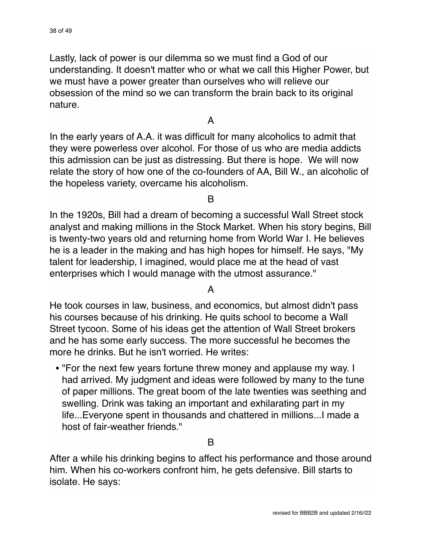Lastly, lack of power is our dilemma so we must find a God of our understanding. It doesn't matter who or what we call this Higher Power, but we must have a power greater than ourselves who will relieve our obsession of the mind so we can transform the brain back to its original nature.

A

In the early years of A.A. it was difficult for many alcoholics to admit that they were powerless over alcohol. For those of us who are media addicts this admission can be just as distressing. But there is hope. We will now relate the story of how one of the co-founders of AA, Bill W., an alcoholic of the hopeless variety, overcame his alcoholism.

B

In the 1920s, Bill had a dream of becoming a successful Wall Street stock analyst and making millions in the Stock Market. When his story begins, Bill is twenty-two years old and returning home from World War I. He believes he is a leader in the making and has high hopes for himself. He says, "My talent for leadership, I imagined, would place me at the head of vast enterprises which I would manage with the utmost assurance."

A

He took courses in law, business, and economics, but almost didn't pass his courses because of his drinking. He quits school to become a Wall Street tycoon. Some of his ideas get the attention of Wall Street brokers and he has some early success. The more successful he becomes the more he drinks. But he isn't worried. He writes:

• "For the next few years fortune threw money and applause my way. I had arrived. My judgment and ideas were followed by many to the tune of paper millions. The great boom of the late twenties was seething and swelling. Drink was taking an important and exhilarating part in my life...Everyone spent in thousands and chattered in millions...I made a host of fair-weather friends."

#### B

After a while his drinking begins to affect his performance and those around him. When his co-workers confront him, he gets defensive. Bill starts to isolate. He says: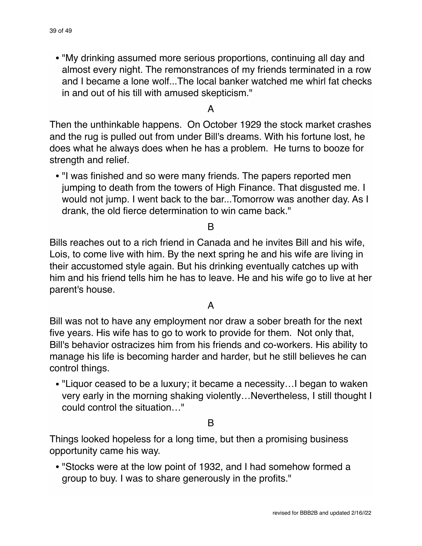• "My drinking assumed more serious proportions, continuing all day and almost every night. The remonstrances of my friends terminated in a row and I became a lone wolf...The local banker watched me whirl fat checks in and out of his till with amused skepticism."

A

Then the unthinkable happens. On October 1929 the stock market crashes and the rug is pulled out from under Bill's dreams. With his fortune lost, he does what he always does when he has a problem. He turns to booze for strength and relief.

• "I was finished and so were many friends. The papers reported men jumping to death from the towers of High Finance. That disgusted me. I would not jump. I went back to the bar...Tomorrow was another day. As I drank, the old fierce determination to win came back."

B

Bills reaches out to a rich friend in Canada and he invites Bill and his wife, Lois, to come live with him. By the next spring he and his wife are living in their accustomed style again. But his drinking eventually catches up with him and his friend tells him he has to leave. He and his wife go to live at her parent's house.

A

Bill was not to have any employment nor draw a sober breath for the next five years. His wife has to go to work to provide for them. Not only that, Bill's behavior ostracizes him from his friends and co-workers. His ability to manage his life is becoming harder and harder, but he still believes he can control things.

• "Liquor ceased to be a luxury; it became a necessity…I began to waken very early in the morning shaking violently…Nevertheless, I still thought I could control the situation…"

#### B

Things looked hopeless for a long time, but then a promising business opportunity came his way.

• "Stocks were at the low point of 1932, and I had somehow formed a group to buy. I was to share generously in the profits."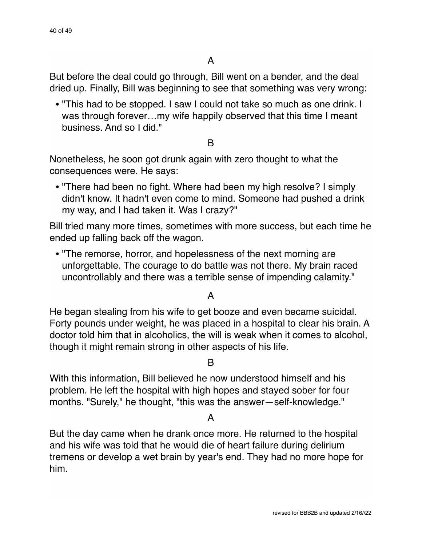But before the deal could go through, Bill went on a bender, and the deal dried up. Finally, Bill was beginning to see that something was very wrong:

• "This had to be stopped. I saw I could not take so much as one drink. I was through forever…my wife happily observed that this time I meant business. And so I did."

#### B

Nonetheless, he soon got drunk again with zero thought to what the consequences were. He says:

• "There had been no fight. Where had been my high resolve? I simply didn't know. It hadn't even come to mind. Someone had pushed a drink my way, and I had taken it. Was I crazy?"

Bill tried many more times, sometimes with more success, but each time he ended up falling back off the wagon.

• "The remorse, horror, and hopelessness of the next morning are unforgettable. The courage to do battle was not there. My brain raced uncontrollably and there was a terrible sense of impending calamity."

## A

He began stealing from his wife to get booze and even became suicidal. Forty pounds under weight, he was placed in a hospital to clear his brain. A doctor told him that in alcoholics, the will is weak when it comes to alcohol, though it might remain strong in other aspects of his life.

B

With this information, Bill believed he now understood himself and his problem. He left the hospital with high hopes and stayed sober for four months. "Surely," he thought, "this was the answer—self-knowledge."

## A

But the day came when he drank once more. He returned to the hospital and his wife was told that he would die of heart failure during delirium tremens or develop a wet brain by year's end. They had no more hope for him.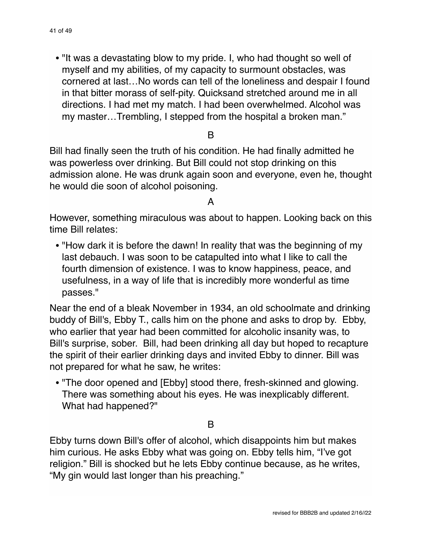• "It was a devastating blow to my pride. I, who had thought so well of myself and my abilities, of my capacity to surmount obstacles, was cornered at last…No words can tell of the loneliness and despair I found in that bitter morass of self-pity. Quicksand stretched around me in all directions. I had met my match. I had been overwhelmed. Alcohol was my master…Trembling, I stepped from the hospital a broken man."

#### B

Bill had finally seen the truth of his condition. He had finally admitted he was powerless over drinking. But Bill could not stop drinking on this admission alone. He was drunk again soon and everyone, even he, thought he would die soon of alcohol poisoning.

A

However, something miraculous was about to happen. Looking back on this time Bill relates:

• "How dark it is before the dawn! In reality that was the beginning of my last debauch. I was soon to be catapulted into what I like to call the fourth dimension of existence. I was to know happiness, peace, and usefulness, in a way of life that is incredibly more wonderful as time passes."

Near the end of a bleak November in 1934, an old schoolmate and drinking buddy of Bill's, Ebby T., calls him on the phone and asks to drop by. Ebby, who earlier that year had been committed for alcoholic insanity was, to Bill's surprise, sober. Bill, had been drinking all day but hoped to recapture the spirit of their earlier drinking days and invited Ebby to dinner. Bill was not prepared for what he saw, he writes:

• "The door opened and [Ebby] stood there, fresh-skinned and glowing. There was something about his eyes. He was inexplicably different. What had happened?"

B

Ebby turns down Bill's offer of alcohol, which disappoints him but makes him curious. He asks Ebby what was going on. Ebby tells him, "I've got religion." Bill is shocked but he lets Ebby continue because, as he writes, "My gin would last longer than his preaching."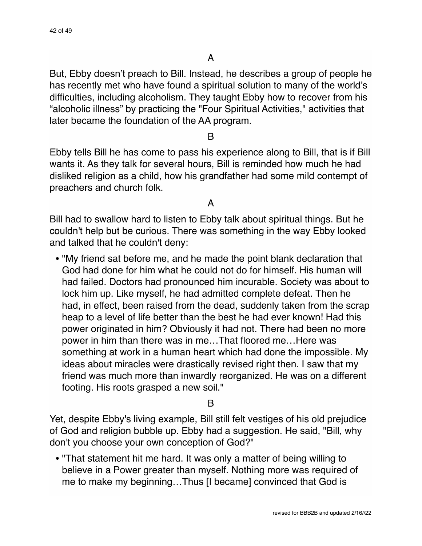But, Ebby doesn't preach to Bill. Instead, he describes a group of people he has recently met who have found a spiritual solution to many of the world's difficulties, including alcoholism. They taught Ebby how to recover from his "alcoholic illness" by practicing the "Four Spiritual Activities," activities that later became the foundation of the AA program.

#### B

Ebby tells Bill he has come to pass his experience along to Bill, that is if Bill wants it. As they talk for several hours, Bill is reminded how much he had disliked religion as a child, how his grandfather had some mild contempt of preachers and church folk.

A

Bill had to swallow hard to listen to Ebby talk about spiritual things. But he couldn't help but be curious. There was something in the way Ebby looked and talked that he couldn't deny:

• "My friend sat before me, and he made the point blank declaration that God had done for him what he could not do for himself. His human will had failed. Doctors had pronounced him incurable. Society was about to lock him up. Like myself, he had admitted complete defeat. Then he had, in effect, been raised from the dead, suddenly taken from the scrap heap to a level of life better than the best he had ever known! Had this power originated in him? Obviously it had not. There had been no more power in him than there was in me…That floored me…Here was something at work in a human heart which had done the impossible. My ideas about miracles were drastically revised right then. I saw that my friend was much more than inwardly reorganized. He was on a different footing. His roots grasped a new soil."

#### B

Yet, despite Ebby's living example, Bill still felt vestiges of his old prejudice of God and religion bubble up. Ebby had a suggestion. He said, "Bill, why don't you choose your own conception of God?"

• "That statement hit me hard. It was only a matter of being willing to believe in a Power greater than myself. Nothing more was required of me to make my beginning…Thus [I became] convinced that God is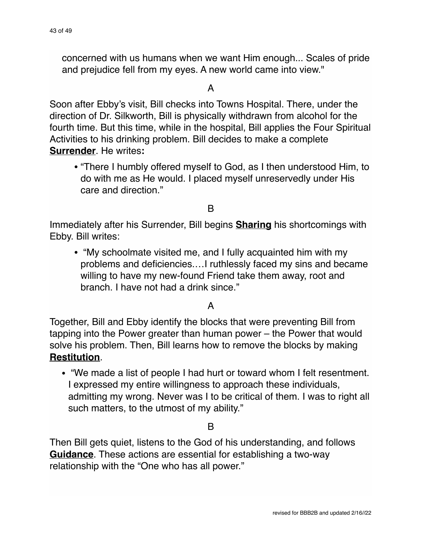concerned with us humans when we want Him enough... Scales of pride and prejudice fell from my eyes. A new world came into view."

A

Soon after Ebby's visit, Bill checks into Towns Hospital. There, under the direction of Dr. Silkworth, Bill is physically withdrawn from alcohol for the fourth time. But this time, while in the hospital, Bill applies the Four Spiritual Activities to his drinking problem. Bill decides to make a complete **Surrender**. He writes**:**

• "There I humbly offered myself to God, as I then understood Him, to do with me as He would. I placed myself unreservedly under His care and direction."

B

Immediately after his Surrender, Bill begins **Sharing** his shortcomings with Ebby. Bill writes:

• "My schoolmate visited me, and I fully acquainted him with my problems and deficiencies.…I ruthlessly faced my sins and became willing to have my new-found Friend take them away, root and branch. I have not had a drink since."

## A

Together, Bill and Ebby identify the blocks that were preventing Bill from tapping into the Power greater than human power – the Power that would solve his problem. Then, Bill learns how to remove the blocks by making **Restitution**.

• "We made a list of people I had hurt or toward whom I felt resentment. I expressed my entire willingness to approach these individuals, admitting my wrong. Never was I to be critical of them. I was to right all such matters, to the utmost of my ability."

B

Then Bill gets quiet, listens to the God of his understanding, and follows **Guidance**. These actions are essential for establishing a two-way relationship with the "One who has all power."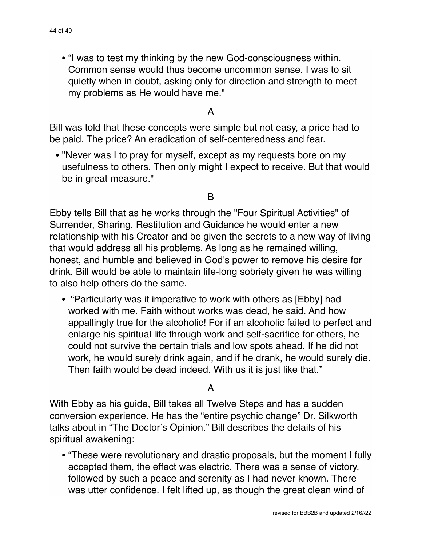• "I was to test my thinking by the new God-consciousness within. Common sense would thus become uncommon sense. I was to sit quietly when in doubt, asking only for direction and strength to meet my problems as He would have me."

#### A

Bill was told that these concepts were simple but not easy, a price had to be paid. The price? An eradication of self-centeredness and fear.

• "Never was I to pray for myself, except as my requests bore on my usefulness to others. Then only might I expect to receive. But that would be in great measure."

B

Ebby tells Bill that as he works through the "Four Spiritual Activities" of Surrender, Sharing, Restitution and Guidance he would enter a new relationship with his Creator and be given the secrets to a new way of living that would address all his problems. As long as he remained willing, honest, and humble and believed in God's power to remove his desire for drink, Bill would be able to maintain life-long sobriety given he was willing to also help others do the same.

• "Particularly was it imperative to work with others as [Ebby] had worked with me. Faith without works was dead, he said. And how appallingly true for the alcoholic! For if an alcoholic failed to perfect and enlarge his spiritual life through work and self-sacrifice for others, he could not survive the certain trials and low spots ahead. If he did not work, he would surely drink again, and if he drank, he would surely die. Then faith would be dead indeed. With us it is just like that."

#### A

With Ebby as his guide, Bill takes all Twelve Steps and has a sudden conversion experience. He has the "entire psychic change" Dr. Silkworth talks about in "The Doctor's Opinion." Bill describes the details of his spiritual awakening:

• "These were revolutionary and drastic proposals, but the moment I fully accepted them, the effect was electric. There was a sense of victory, followed by such a peace and serenity as I had never known. There was utter confidence. I felt lifted up, as though the great clean wind of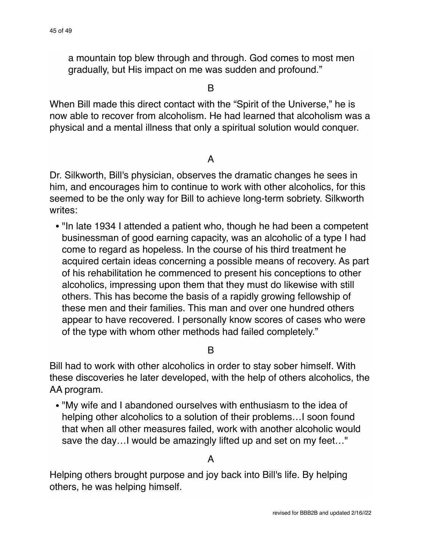a mountain top blew through and through. God comes to most men gradually, but His impact on me was sudden and profound."

B

When Bill made this direct contact with the "Spirit of the Universe," he is now able to recover from alcoholism. He had learned that alcoholism was a physical and a mental illness that only a spiritual solution would conquer.

### A

Dr. Silkworth, Bill's physician, observes the dramatic changes he sees in him, and encourages him to continue to work with other alcoholics, for this seemed to be the only way for Bill to achieve long-term sobriety. Silkworth writes:

• "In late 1934 I attended a patient who, though he had been a competent businessman of good earning capacity, was an alcoholic of a type I had come to regard as hopeless. In the course of his third treatment he acquired certain ideas concerning a possible means of recovery. As part of his rehabilitation he commenced to present his conceptions to other alcoholics, impressing upon them that they must do likewise with still others. This has become the basis of a rapidly growing fellowship of these men and their families. This man and over one hundred others appear to have recovered. I personally know scores of cases who were of the type with whom other methods had failed completely."

#### B

Bill had to work with other alcoholics in order to stay sober himself. With these discoveries he later developed, with the help of others alcoholics, the AA program.

• "My wife and I abandoned ourselves with enthusiasm to the idea of helping other alcoholics to a solution of their problems…I soon found that when all other measures failed, work with another alcoholic would save the day…I would be amazingly lifted up and set on my feet…"

#### A

Helping others brought purpose and joy back into Bill's life. By helping others, he was helping himself.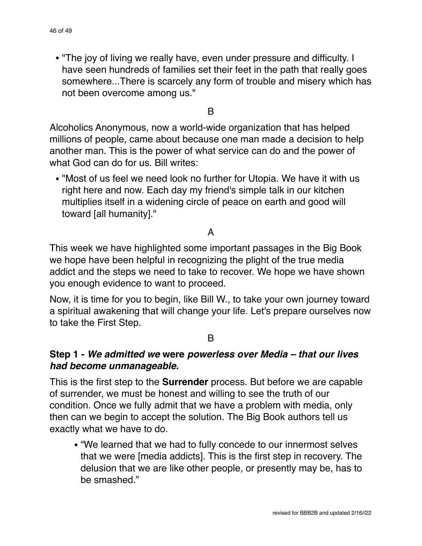• "The joy of living we really have, even under pressure and difficulty. I have seen hundreds of families set their feet in the path that really goes somewhere...There is scarcely any form of trouble and misery which has not been overcome among us."

B

Alcoholics Anonymous, now a world-wide organization that has helped millions of people, came about because one man made a decision to help another man. This is the power of what service can do and the power of what God can do for us. Bill writes:

• "Most of us feel we need look no further for Utopia. We have it with us right here and now. Each day my friend's simple talk in our kitchen multiplies itself in a widening circle of peace on earth and good will toward [all humanity]."

## A

This week we have highlighted some important passages in the Big Book we hope have been helpful in recognizing the plight of the true media addict and the steps we need to take to recover. We hope we have shown you enough evidence to want to proceed.

Now, it is time for you to begin, like Bill W., to take your own journey toward a spiritual awakening that will change your life. Let's prepare ourselves now to take the First Step.

## B

## **Step 1 -** *We admitted we* **were** *powerless over Media – that our lives had become unmanageable.*

This is the first step to the **Surrender** process. But before we are capable of surrender, we must be honest and willing to see the truth of our condition. Once we fully admit that we have a problem with media, only then can we begin to accept the solution. The Big Book authors tell us exactly what we have to do.

• "We learned that we had to fully concede to our innermost selves that we were [media addicts]. This is the first step in recovery. The delusion that we are like other people, or presently may be, has to be smashed."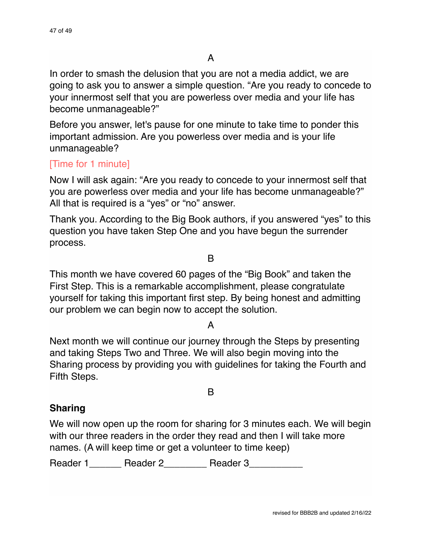In order to smash the delusion that you are not a media addict, we are going to ask you to answer a simple question. "Are you ready to concede to your innermost self that you are powerless over media and your life has become unmanageable?"

Before you answer, let's pause for one minute to take time to ponder this important admission. Are you powerless over media and is your life unmanageable?

## [Time for 1 minute]

Now I will ask again: "Are you ready to concede to your innermost self that you are powerless over media and your life has become unmanageable?" All that is required is a "yes" or "no" answer.

Thank you. According to the Big Book authors, if you answered "yes" to this question you have taken Step One and you have begun the surrender process.

B

This month we have covered 60 pages of the "Big Book" and taken the First Step. This is a remarkable accomplishment, please congratulate yourself for taking this important first step. By being honest and admitting our problem we can begin now to accept the solution.

## A

Next month we will continue our journey through the Steps by presenting and taking Steps Two and Three. We will also begin moving into the Sharing process by providing you with guidelines for taking the Fourth and Fifth Steps.

## B

## **Sharing**

We will now open up the room for sharing for 3 minutes each. We will begin with our three readers in the order they read and then I will take more names. (A will keep time or get a volunteer to time keep)

Reader 1 \_\_\_\_\_\_ Reader 2 \_\_\_\_\_\_\_ Reader 3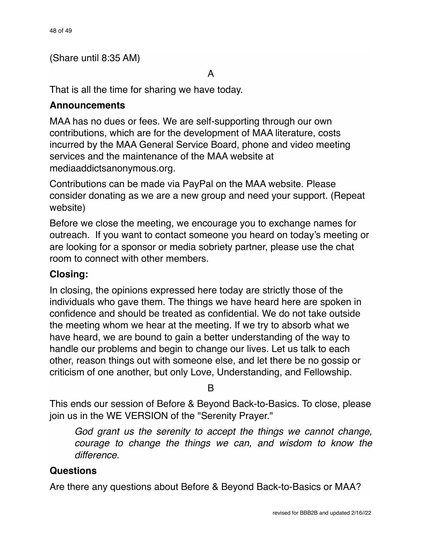(Share until 8:35 AM)

A

That is all the time for sharing we have today.

## **Announcements**

MAA has no dues or fees. We are self-supporting through our own contributions, which are for the development of MAA literature, costs incurred by the MAA General Service Board, phone and video meeting services and the maintenance of the MAA website at mediaaddictsanonymous.org.

Contributions can be made via PayPal on the MAA website. Please consider donating as we are a new group and need your support. (Repeat website)

Before we close the meeting, we encourage you to exchange names for outreach. If you want to contact someone you heard on today's meeting or are looking for a sponsor or media sobriety partner, please use the chat room to connect with other members.

## **Closing:**

In closing, the opinions expressed here today are strictly those of the individuals who gave them. The things we have heard here are spoken in confidence and should be treated as confidential. We do not take outside the meeting whom we hear at the meeting. If we try to absorb what we have heard, we are bound to gain a better understanding of the way to handle our problems and begin to change our lives. Let us talk to each other, reason things out with someone else, and let there be no gossip or criticism of one another, but only Love, Understanding, and Fellowship.

B

This ends our session of Before & Beyond Back-to-Basics. To close, please join us in the WE VERSION of the "Serenity Prayer."

*God grant us the serenity to accept the things we cannot change, courage to change the things we can, and wisdom to know the difference.*

## **Questions**

Are there any questions about Before & Beyond Back-to-Basics or MAA?